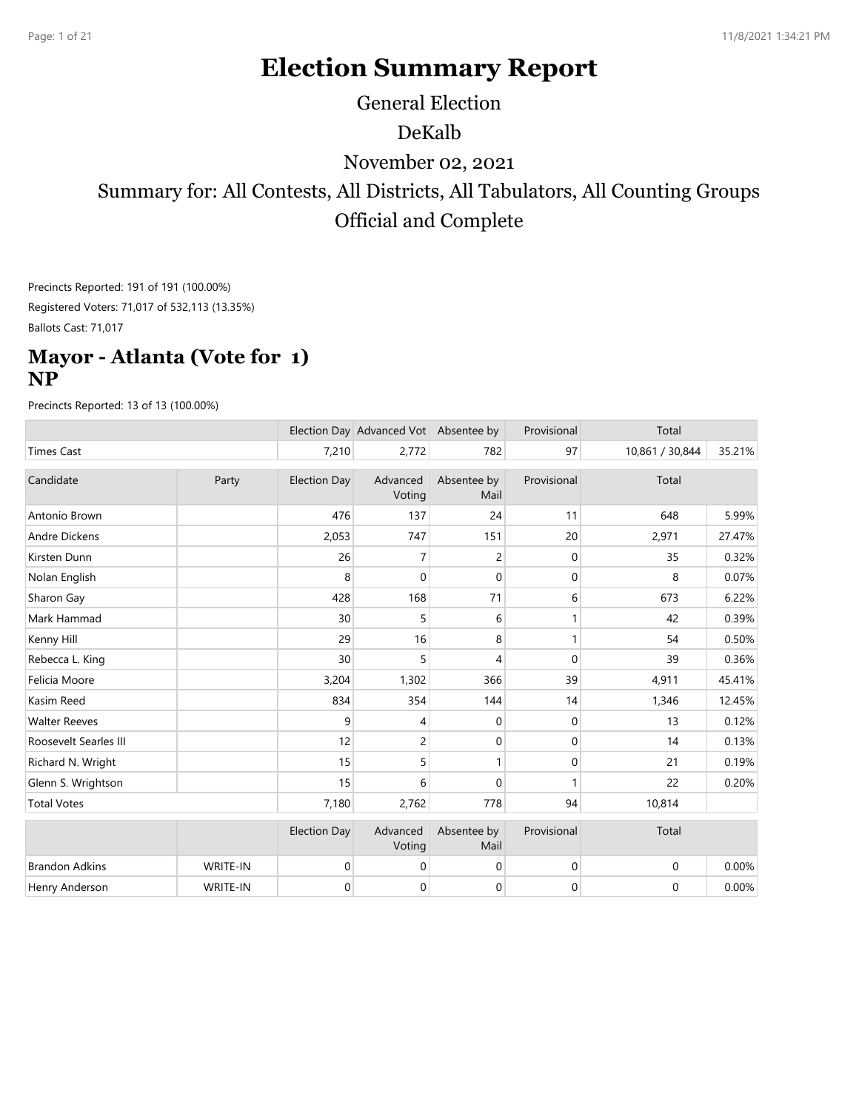# **Election Summary Report**

General Election

DeKalb

November 02, 2021

Summary for: All Contests, All Districts, All Tabulators, All Counting Groups Official and Complete

Precincts Reported: 191 of 191 (100.00%) Registered Voters: 71,017 of 532,113 (13.35%) Ballots Cast: 71,017

#### **Mayor - Atlanta (Vote for 1) NP**

|                       |          |                     | Election Day Advanced Vot Absentee by |                     | Provisional      | Total            |        |
|-----------------------|----------|---------------------|---------------------------------------|---------------------|------------------|------------------|--------|
| <b>Times Cast</b>     |          | 7,210               | 2,772                                 | 782                 | 97               | 10,861 / 30,844  | 35.21% |
| Candidate             | Party    | <b>Election Day</b> | Advanced<br>Voting                    | Absentee by<br>Mail | Provisional      | Total            |        |
| Antonio Brown         |          | 476                 | 137                                   | 24                  | 11               | 648              | 5.99%  |
| Andre Dickens         |          | 2,053               | 747                                   | 151                 | 20               | 2,971            | 27.47% |
| Kirsten Dunn          |          | 26                  | $\overline{7}$                        | $\overline{c}$      | 0                | 35               | 0.32%  |
| Nolan English         |          | 8                   | $\mathbf{0}$                          | 0                   | $\mathbf{0}$     | 8                | 0.07%  |
| Sharon Gay            |          | 428                 | 168                                   | 71                  | 6                | 673              | 6.22%  |
| Mark Hammad           |          | 30                  | 5                                     | 6                   | 1                | 42               | 0.39%  |
| Kenny Hill            |          | 29                  | 16                                    | 8                   | $\mathbf{1}$     | 54               | 0.50%  |
| Rebecca L. King       |          | 30                  | 5                                     | 4                   | $\Omega$         | 39               | 0.36%  |
| Felicia Moore         |          | 3,204               | 1,302                                 | 366                 | 39               | 4,911            | 45.41% |
| Kasim Reed            |          | 834                 | 354                                   | 144                 | 14               | 1,346            | 12.45% |
| <b>Walter Reeves</b>  |          | 9                   | 4                                     | 0                   | 0                | 13               | 0.12%  |
| Roosevelt Searles III |          | 12                  | $\overline{c}$                        | $\mathbf{0}$        | $\mathbf{0}$     | 14               | 0.13%  |
| Richard N. Wright     |          | 15                  | 5                                     | 1                   | 0                | 21               | 0.19%  |
| Glenn S. Wrightson    |          | 15                  | 6                                     | $\mathbf{0}$        | 1                | 22               | 0.20%  |
| <b>Total Votes</b>    |          | 7,180               | 2,762                                 | 778                 | 94               | 10,814           |        |
|                       |          | <b>Election Day</b> | Advanced<br>Voting                    | Absentee by<br>Mail | Provisional      | Total            |        |
| <b>Brandon Adkins</b> | WRITE-IN | $\boldsymbol{0}$    | $\boldsymbol{0}$                      | $\mathbf 0$         | $\boldsymbol{0}$ | $\boldsymbol{0}$ | 0.00%  |
| Henry Anderson        | WRITE-IN | 0                   | 0                                     | 0                   | $\mathbf 0$      | $\boldsymbol{0}$ | 0.00%  |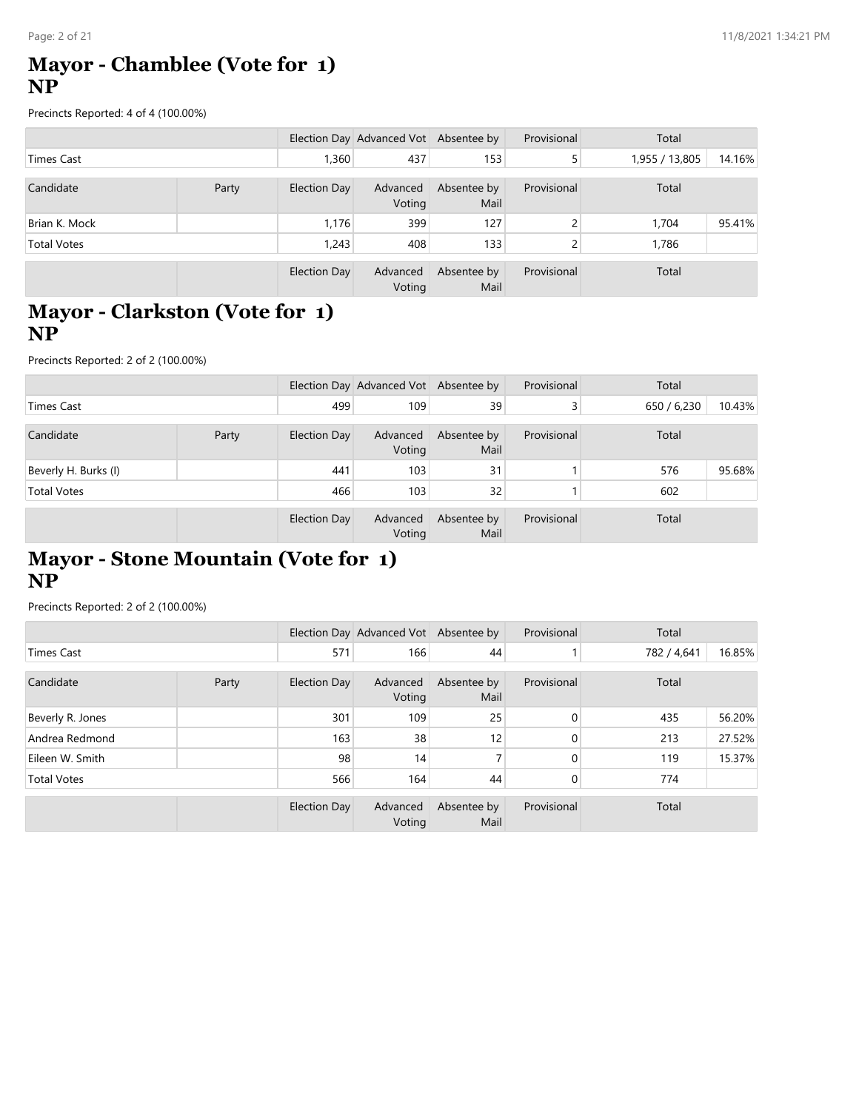### **Mayor - Chamblee (Vote for 1) NP**

Precincts Reported: 4 of 4 (100.00%)

|                    |       |              | Election Day Advanced Vot Absentee by |                     | Provisional  | Total          |        |
|--------------------|-------|--------------|---------------------------------------|---------------------|--------------|----------------|--------|
| Times Cast         |       | 1,360        | 437                                   | 153                 | 5            | 1,955 / 13,805 | 14.16% |
| Candidate          | Party | Election Day | Advanced<br>Voting                    | Absentee by<br>Mail | Provisional  | Total          |        |
| Brian K. Mock      |       | 1.176        | 399                                   | 127                 | <sup>-</sup> | 1,704          | 95.41% |
| <b>Total Votes</b> |       | 1,243        | 408                                   | 133                 | <sup>-</sup> | 1,786          |        |
|                    |       | Election Day | Advanced<br>Voting                    | Absentee by<br>Mail | Provisional  | Total          |        |

# **Mayor - Clarkston (Vote for 1) NP**

Precincts Reported: 2 of 2 (100.00%)

|                      |       |              | Election Day Advanced Vot Absentee by |                     | Provisional | Total       |        |
|----------------------|-------|--------------|---------------------------------------|---------------------|-------------|-------------|--------|
| Times Cast           |       | 499          | 109                                   | 39                  |             | 650 / 6,230 | 10.43% |
| Candidate            | Party | Election Day | Advanced<br>Voting                    | Absentee by<br>Mail | Provisional | Total       |        |
| Beverly H. Burks (I) |       | 441          | 103                                   | 31                  |             | 576         | 95.68% |
| <b>Total Votes</b>   |       | 466          | 103                                   | 32                  |             | 602         |        |
|                      |       | Election Day | Advanced<br>Voting                    | Absentee by<br>Mail | Provisional | Total       |        |

### **Mayor - Stone Mountain (Vote for 1) NP**

|                    |       |              | Election Day Advanced Vot Absentee by |                     | Provisional  | Total       |        |
|--------------------|-------|--------------|---------------------------------------|---------------------|--------------|-------------|--------|
| <b>Times Cast</b>  |       | 571          | 166                                   | 44                  |              | 782 / 4,641 | 16.85% |
| Candidate          | Party | Election Day | Advanced<br>Voting                    | Absentee by<br>Mail | Provisional  | Total       |        |
| Beverly R. Jones   |       | 301          | 109                                   | 25                  | $\mathbf{0}$ | 435         | 56.20% |
| Andrea Redmond     |       | 163          | 38                                    | 12 <sub>1</sub>     | $\Omega$     | 213         | 27.52% |
| Eileen W. Smith    |       | 98           | 14                                    |                     | $\Omega$     | 119         | 15.37% |
| <b>Total Votes</b> |       | 566          | 164                                   | 44                  | $\Omega$     | 774         |        |
|                    |       | Election Day | Advanced<br>Voting                    | Absentee by<br>Mail | Provisional  | Total       |        |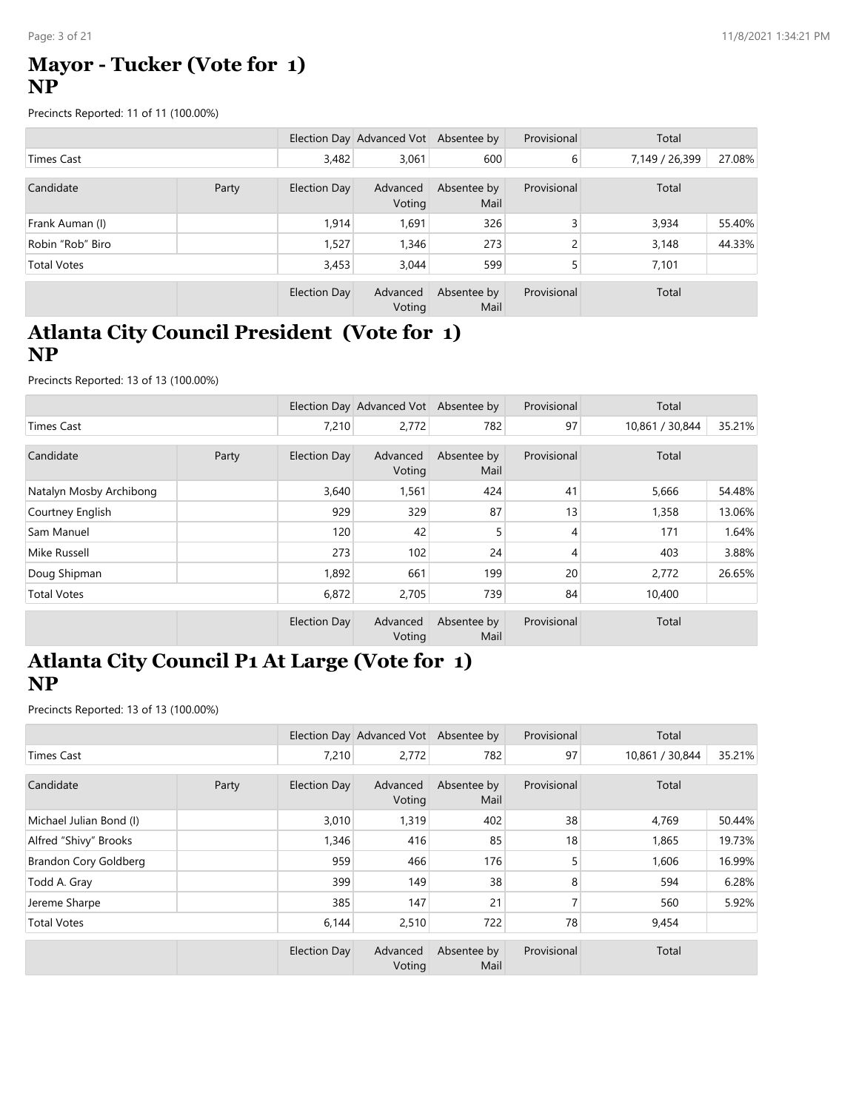### **Mayor - Tucker (Vote for 1) NP**

Precincts Reported: 11 of 11 (100.00%)

|                    |       |              | Election Day Advanced Vot Absentee by |                     | Provisional    | Total          |        |
|--------------------|-------|--------------|---------------------------------------|---------------------|----------------|----------------|--------|
| <b>Times Cast</b>  |       | 3,482        | 3,061                                 | 600                 | 6              | 7,149 / 26,399 | 27.08% |
| Candidate          | Party | Election Day | Advanced<br>Voting                    | Absentee by<br>Mail | Provisional    | Total          |        |
| Frank Auman (I)    |       | 1,914        | 1,691                                 | 326                 | 3              | 3,934          | 55.40% |
| Robin "Rob" Biro   |       | 1,527        | 1,346                                 | 273                 | $\overline{c}$ | 3,148          | 44.33% |
| <b>Total Votes</b> |       | 3,453        | 3,044                                 | 599                 | 5              | 7,101          |        |
|                    |       | Election Day | Advanced<br>Voting                    | Absentee by<br>Mail | Provisional    | Total          |        |

# **Atlanta City Council President (Vote for 1) NP**

Precincts Reported: 13 of 13 (100.00%)

|                         |       |              | Election Day Advanced Vot Absentee by |                     | Provisional    | Total           |        |
|-------------------------|-------|--------------|---------------------------------------|---------------------|----------------|-----------------|--------|
| Times Cast              |       | 7,210        | 2,772                                 | 782                 | 97             | 10,861 / 30,844 | 35.21% |
| Candidate               | Party | Election Day | Advanced                              | Absentee by         | Provisional    | Total           |        |
|                         |       |              | Voting                                | Mail                |                |                 |        |
| Natalyn Mosby Archibong |       | 3,640        | 1,561                                 | 424                 | 41             | 5,666           | 54.48% |
| Courtney English        |       | 929          | 329                                   | 87                  | 13             | 1,358           | 13.06% |
| Sam Manuel              |       | 120          | 42                                    | 5                   | $\overline{4}$ | 171             | 1.64%  |
| Mike Russell            |       | 273          | 102                                   | 24                  | $\overline{4}$ | 403             | 3.88%  |
| Doug Shipman            |       | 1,892        | 661                                   | 199                 | 20             | 2,772           | 26.65% |
| <b>Total Votes</b>      |       | 6,872        | 2,705                                 | 739                 | 84             | 10,400          |        |
|                         |       | Election Day | Advanced<br>Voting                    | Absentee by<br>Mail | Provisional    | Total           |        |

#### **Atlanta City Council P1 At Large (Vote for 1) NP**

|                         |       |              | Election Day Advanced Vot Absentee by |                     | Provisional | Total           |        |
|-------------------------|-------|--------------|---------------------------------------|---------------------|-------------|-----------------|--------|
| Times Cast              |       | 7,210        | 2,772                                 | 782                 | 97          | 10,861 / 30,844 | 35.21% |
| Candidate               | Party | Election Day | Advanced<br>Voting                    | Absentee by<br>Mail | Provisional | Total           |        |
| Michael Julian Bond (I) |       | 3,010        | 1,319                                 | 402                 | 38          | 4,769           | 50.44% |
| Alfred "Shivy" Brooks   |       | 1,346        | 416                                   | 85                  | 18          | 1,865           | 19.73% |
| Brandon Cory Goldberg   |       | 959          | 466                                   | 176                 | 5           | 1,606           | 16.99% |
| Todd A. Gray            |       | 399          | 149                                   | 38                  | 8           | 594             | 6.28%  |
| Jereme Sharpe           |       | 385          | 147                                   | 21                  |             | 560             | 5.92%  |
| <b>Total Votes</b>      |       | 6,144        | 2,510                                 | 722                 | 78          | 9,454           |        |
|                         |       | Election Day | Advanced<br>Voting                    | Absentee by<br>Mail | Provisional | Total           |        |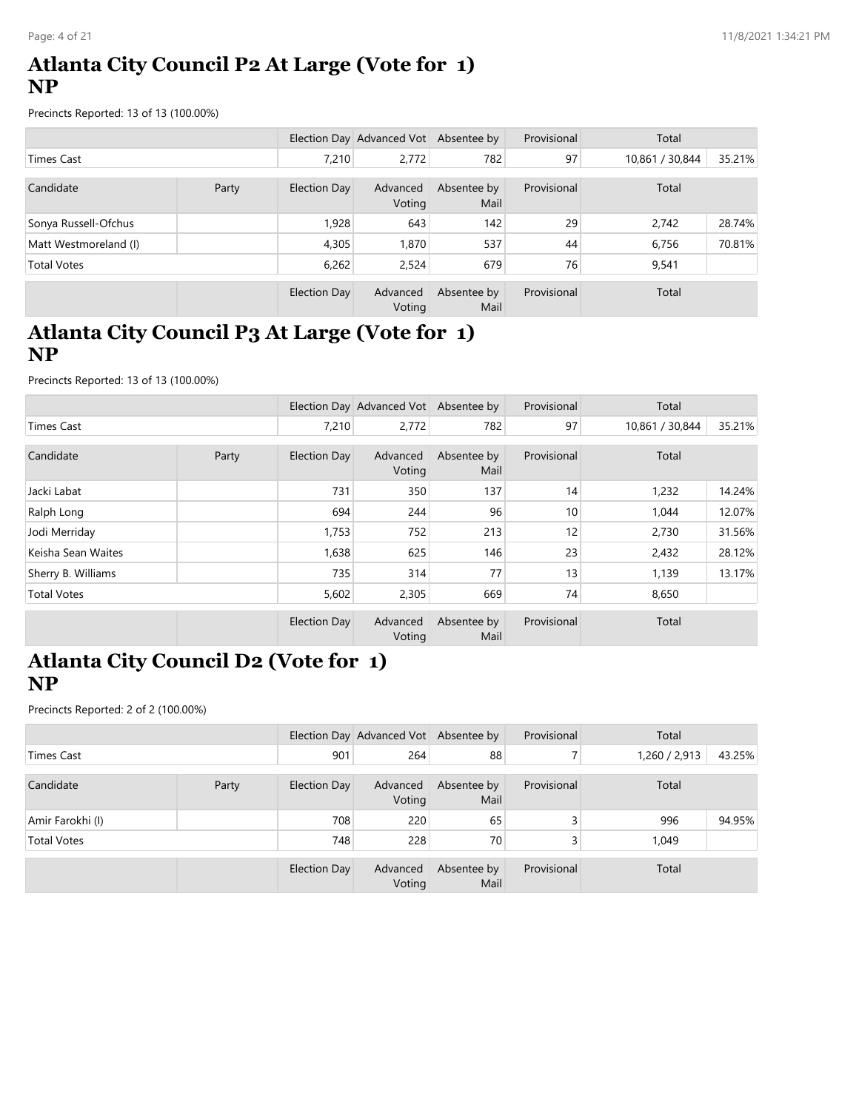#### **Atlanta City Council P2 At Large (Vote for 1) NP**

Precincts Reported: 13 of 13 (100.00%)

|                       |       |              | Election Day Advanced Vot Absentee by |                     | Provisional | Total           |        |
|-----------------------|-------|--------------|---------------------------------------|---------------------|-------------|-----------------|--------|
| Times Cast            |       | 7.210        | 2,772                                 | 782                 | 97          | 10,861 / 30,844 | 35.21% |
| Candidate             | Party | Election Day | Advanced<br>Voting                    | Absentee by<br>Mail | Provisional | Total           |        |
| Sonya Russell-Ofchus  |       | 1,928        | 643                                   | 142                 | 29          | 2,742           | 28.74% |
| Matt Westmoreland (I) |       | 4,305        | 1.870                                 | 537                 | 44          | 6,756           | 70.81% |
| <b>Total Votes</b>    |       | 6,262        | 2,524                                 | 679                 | 76          | 9,541           |        |
|                       |       | Election Day | Advanced<br>Voting                    | Absentee by<br>Mail | Provisional | Total           |        |

# **Atlanta City Council P3 At Large (Vote for 1) NP**

Precincts Reported: 13 of 13 (100.00%)

|                    |       |                     | Election Day Advanced Vot Absentee by |                     | Provisional     | Total           |        |
|--------------------|-------|---------------------|---------------------------------------|---------------------|-----------------|-----------------|--------|
| <b>Times Cast</b>  |       | 7,210               | 2,772                                 | 782                 | 97              | 10,861 / 30,844 | 35.21% |
| Candidate          | Party | Election Day        | Advanced<br>Voting                    | Absentee by<br>Mail | Provisional     | Total           |        |
| Jacki Labat        |       | 731                 | 350                                   | 137                 | 14              | 1,232           | 14.24% |
| Ralph Long         |       | 694                 | 244                                   | 96                  | 10 <sup>1</sup> | 1,044           | 12.07% |
| Jodi Merriday      |       | 1,753               | 752                                   | 213                 | 12              | 2,730           | 31.56% |
| Keisha Sean Waites |       | 1,638               | 625                                   | 146                 | 23              | 2,432           | 28.12% |
| Sherry B. Williams |       | 735                 | 314                                   | 77                  | 13              | 1,139           | 13.17% |
| <b>Total Votes</b> |       | 5,602               | 2,305                                 | 669                 | 74              | 8,650           |        |
|                    |       | <b>Election Day</b> | Advanced<br>Voting                    | Absentee by<br>Mail | Provisional     | Total           |        |

#### **Atlanta City Council D2 (Vote for 1) NP**

|                    |       |              | Election Day Advanced Vot Absentee by |                     | Provisional | Total         |        |
|--------------------|-------|--------------|---------------------------------------|---------------------|-------------|---------------|--------|
| Times Cast         |       | 901          | 264                                   | 88                  |             | 1,260 / 2,913 | 43.25% |
| Candidate          | Party | Election Day | Advanced<br>Voting                    | Absentee by<br>Mail | Provisional | Total         |        |
| Amir Farokhi (I)   |       | 708          | 220                                   | 65                  | 3           | 996           | 94.95% |
| <b>Total Votes</b> |       | 748          | 228                                   | 70                  |             | 1,049         |        |
|                    |       | Election Day | Advanced<br>Voting                    | Absentee by<br>Mail | Provisional | Total         |        |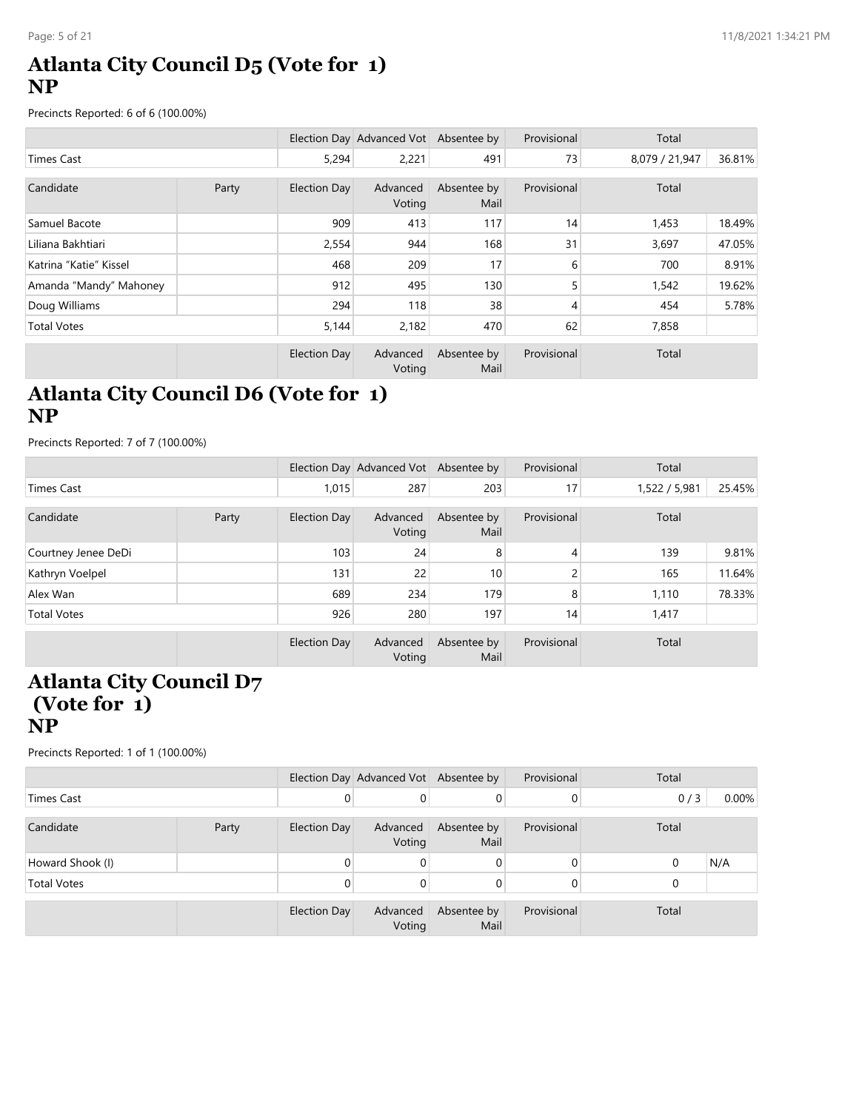### **Atlanta City Council D5 (Vote for 1) NP**

Precincts Reported: 6 of 6 (100.00%)

|                        |  |              | Election Day Advanced Vot Absentee by |                     | Provisional | Total          |        |
|------------------------|--|--------------|---------------------------------------|---------------------|-------------|----------------|--------|
| <b>Times Cast</b>      |  | 5,294        | 2,221                                 | 491                 | 73          | 8,079 / 21,947 | 36.81% |
| Candidate<br>Party     |  | Election Day | Advanced<br>Voting                    | Absentee by<br>Mail | Provisional | Total          |        |
| Samuel Bacote          |  | 909          | 413                                   | 117                 | 14          | 1,453          | 18.49% |
| Liliana Bakhtiari      |  | 2,554        | 944                                   | 168                 | 31          | 3,697          | 47.05% |
| Katrina "Katie" Kissel |  | 468          | 209                                   | 17                  | 6           | 700            | 8.91%  |
| Amanda "Mandy" Mahoney |  | 912          | 495                                   | 130                 |             | 1,542          | 19.62% |
| Doug Williams          |  | 294          | 118                                   | 38                  | 4           | 454            | 5.78%  |
| <b>Total Votes</b>     |  | 5,144        | 2,182                                 | 470                 | 62          | 7,858          |        |
|                        |  | Election Day | Advanced<br>Voting                    | Absentee by<br>Mail | Provisional | Total          |        |

### **Atlanta City Council D6 (Vote for 1) NP**

Precincts Reported: 7 of 7 (100.00%)

|                     |       |                     | Election Day Advanced Vot Absentee by |                     | Provisional | Total         |        |
|---------------------|-------|---------------------|---------------------------------------|---------------------|-------------|---------------|--------|
| Times Cast          |       | 1,015               | 287                                   | 203                 | 17          | 1,522 / 5,981 | 25.45% |
| Candidate           | Party | <b>Election Day</b> | Advanced<br>Voting                    | Absentee by<br>Mail | Provisional | Total         |        |
| Courtney Jenee DeDi |       | 103                 | 24                                    | 8                   | 4           | 139           | 9.81%  |
| Kathryn Voelpel     |       | 131                 | 22                                    | 10                  | 2           | 165           | 11.64% |
| Alex Wan            |       | 689                 | 234                                   | 179                 | 8           | 1,110         | 78.33% |
| <b>Total Votes</b>  |       | 926                 | 280                                   | 197                 | 14          | 1,417         |        |
|                     |       | Election Day        | Advanced<br>Voting                    | Absentee by<br>Mail | Provisional | Total         |        |

#### **Atlanta City Council D7 (Vote for 1) NP**

|                    |       |                     | Election Day Advanced Vot Absentee by |                     | Provisional | Total    |          |
|--------------------|-------|---------------------|---------------------------------------|---------------------|-------------|----------|----------|
| <b>Times Cast</b>  |       | 0                   | 0                                     | 0                   | 0           | 0/3      | $0.00\%$ |
| Candidate          | Party | <b>Election Day</b> | Advanced<br>Voting                    | Absentee by<br>Mail | Provisional | Total    |          |
| Howard Shook (I)   |       |                     | 0                                     | 0                   | 0           | $\Omega$ | N/A      |
| <b>Total Votes</b> |       |                     | 0                                     | 0                   | 0           |          |          |
|                    |       | Election Day        | Advanced<br>Voting                    | Absentee by<br>Mail | Provisional | Total    |          |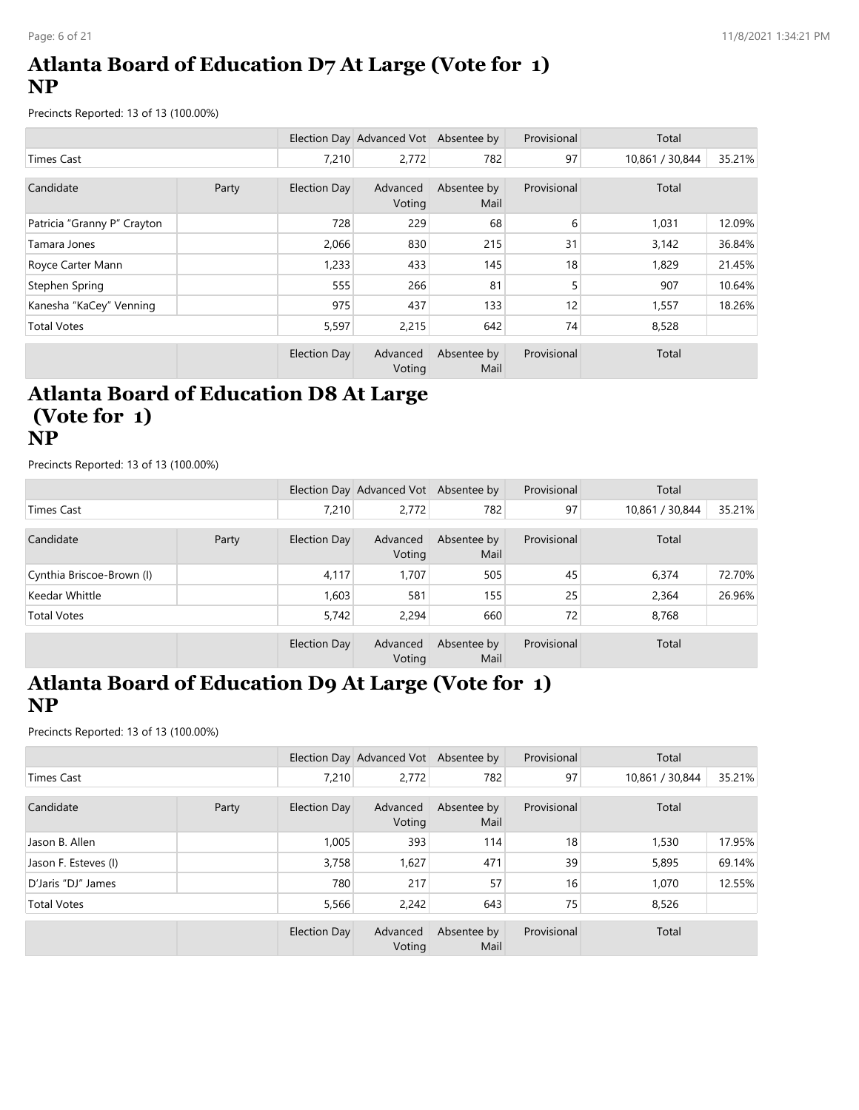# **Atlanta Board of Education D7 At Large (Vote for 1) NP**

Precincts Reported: 13 of 13 (100.00%)

|                             |       |              | Election Day Advanced Vot Absentee by |                     | Provisional | Total           |        |
|-----------------------------|-------|--------------|---------------------------------------|---------------------|-------------|-----------------|--------|
| <b>Times Cast</b>           |       | 7,210        | 2,772                                 | 782                 | 97          | 10,861 / 30,844 | 35.21% |
|                             |       |              |                                       |                     |             |                 |        |
| Candidate                   | Party | Election Day | Advanced<br>Voting                    | Absentee by<br>Mail | Provisional | Total           |        |
| Patricia "Granny P" Crayton |       | 728          | 229                                   | 68                  | 6           | 1,031           | 12.09% |
| Tamara Jones                |       | 2,066        | 830                                   | 215                 | 31          | 3,142           | 36.84% |
| Royce Carter Mann           |       | 1,233        | 433                                   | 145                 | 18          | 1,829           | 21.45% |
| Stephen Spring              |       | 555          | 266                                   | 81                  | 5           | 907             | 10.64% |
| Kanesha "KaCey" Venning     |       | 975          | 437                                   | 133                 | 12          | 1,557           | 18.26% |
| <b>Total Votes</b>          |       | 5,597        | 2,215                                 | 642                 | 74          | 8,528           |        |
|                             |       | Election Day | Advanced                              | Absentee by         | Provisional | Total           |        |
|                             |       |              | Voting                                | Mail                |             |                 |        |

#### **Atlanta Board of Education D8 At Large (Vote for 1) NP**

Precincts Reported: 13 of 13 (100.00%)

|                           |       |              | Election Day Advanced Vot Absentee by |                     | Provisional | Total           |        |
|---------------------------|-------|--------------|---------------------------------------|---------------------|-------------|-----------------|--------|
| <b>Times Cast</b>         |       | 7.210        | 2,772                                 | 782                 | 97          | 10,861 / 30,844 | 35.21% |
| Candidate                 | Party | Election Day | Advanced<br>Voting                    | Absentee by<br>Mail | Provisional | Total           |        |
| Cynthia Briscoe-Brown (I) |       | 4,117        | 1.707                                 | 505                 | 45          | 6,374           | 72.70% |
| Keedar Whittle            |       | 1,603        | 581                                   | 155                 | 25          | 2,364           | 26.96% |
| <b>Total Votes</b>        |       | 5,742        | 2.294                                 | 660                 | 72          | 8,768           |        |
|                           |       | Election Day | Advanced<br>Voting                    | Absentee by<br>Mail | Provisional | Total           |        |

### **Atlanta Board of Education D9 At Large (Vote for 1) NP**

|                      |  |              | Election Day Advanced Vot Absentee by |                     | Provisional | Total           |        |
|----------------------|--|--------------|---------------------------------------|---------------------|-------------|-----------------|--------|
| <b>Times Cast</b>    |  | 7,210        | 2,772                                 | 782                 | 97          | 10,861 / 30,844 | 35.21% |
| Candidate<br>Party   |  | Election Day | Advanced<br>Voting                    | Absentee by<br>Mail | Provisional | Total           |        |
| Jason B. Allen       |  | 1,005        | 393                                   | 114                 | 18          | 1,530           | 17.95% |
| Jason F. Esteves (I) |  | 3,758        | 1,627                                 | 471                 | 39          | 5,895           | 69.14% |
| D'Jaris "DJ" James   |  | 780          | 217                                   | 57                  | 16          | 1,070           | 12.55% |
| <b>Total Votes</b>   |  | 5,566        | 2,242                                 | 643                 | 75          | 8,526           |        |
|                      |  | Election Day | Advanced<br>Voting                    | Absentee by<br>Mail | Provisional | Total           |        |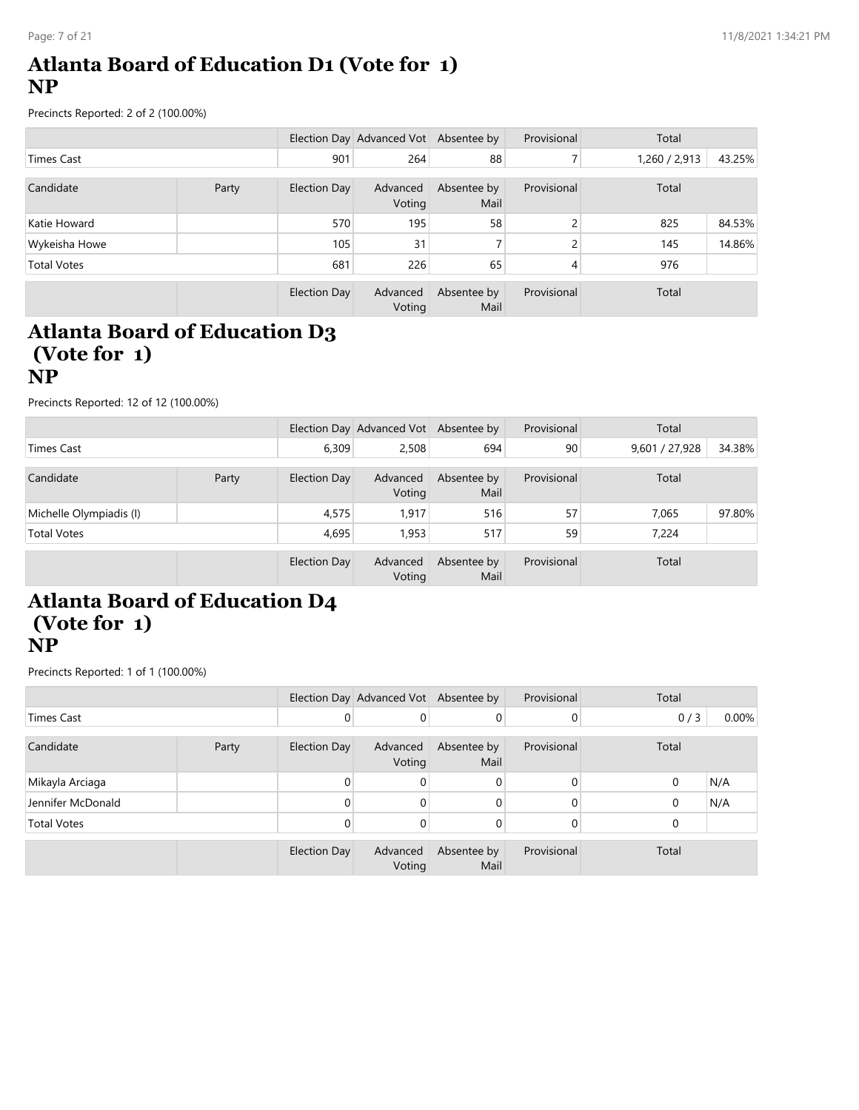### **Atlanta Board of Education D1 (Vote for 1) NP**

Precincts Reported: 2 of 2 (100.00%)

|                    |  |                     | Election Day Advanced Vot Absentee by |                     | Provisional  | Total         |        |
|--------------------|--|---------------------|---------------------------------------|---------------------|--------------|---------------|--------|
| <b>Times Cast</b>  |  | 901                 | 264                                   | 88                  |              | 1,260 / 2,913 | 43.25% |
| Candidate<br>Party |  | <b>Election Day</b> | Advanced<br>Voting                    | Absentee by<br>Mail | Provisional  | Total         |        |
| Katie Howard       |  | 570                 | 195                                   | 58                  | C.           | 825           | 84.53% |
| Wykeisha Howe      |  | 105                 | 31                                    | 7                   | <sup>1</sup> | 145           | 14.86% |
| <b>Total Votes</b> |  | 681                 | 226                                   | 65                  | 4            | 976           |        |
|                    |  | Election Day        | Advanced<br>Voting                    | Absentee by<br>Mail | Provisional  | Total         |        |

#### **Atlanta Board of Education D3 (Vote for 1) NP**

Precincts Reported: 12 of 12 (100.00%)

|                         |       |                     | Election Day Advanced Vot Absentee by |                     | Provisional | Total          |        |
|-------------------------|-------|---------------------|---------------------------------------|---------------------|-------------|----------------|--------|
| Times Cast              |       | 6,309               | 2,508                                 | 694                 | 90          | 9,601 / 27,928 | 34.38% |
| Candidate               | Party | Election Day        | Advanced<br>Voting                    | Absentee by<br>Mail | Provisional | Total          |        |
| Michelle Olympiadis (I) |       | 4,575               | 1,917                                 | 516                 | 57          | 7,065          | 97.80% |
| <b>Total Votes</b>      |       | 4,695               | 1,953                                 | 517                 | 59          | 7,224          |        |
|                         |       | <b>Election Day</b> | Advanced<br>Voting                    | Absentee by<br>Mail | Provisional | Total          |        |

# **Atlanta Board of Education D4 (Vote for 1) NP**

|                    |       |              | Election Day Advanced Vot Absentee by |                     | Provisional | Total       |       |
|--------------------|-------|--------------|---------------------------------------|---------------------|-------------|-------------|-------|
| <b>Times Cast</b>  |       | 0            | $\mathbf{0}$                          |                     | 0           | 0/3         | 0.00% |
| Candidate          | Party | Election Day | Advanced<br>Voting                    | Absentee by<br>Mail | Provisional | Total       |       |
| Mikayla Arciaga    |       | 0            | $\mathbf{0}$                          | 0                   | $\Omega$    | $\mathbf 0$ | N/A   |
| Jennifer McDonald  |       | 0            | $\mathbf 0$                           |                     | 0           | $\mathbf 0$ | N/A   |
| <b>Total Votes</b> |       | 0            | $\mathbf 0$                           | 0                   | 0           | $\Omega$    |       |
|                    |       | Election Day | Advanced<br>Voting                    | Absentee by<br>Mail | Provisional | Total       |       |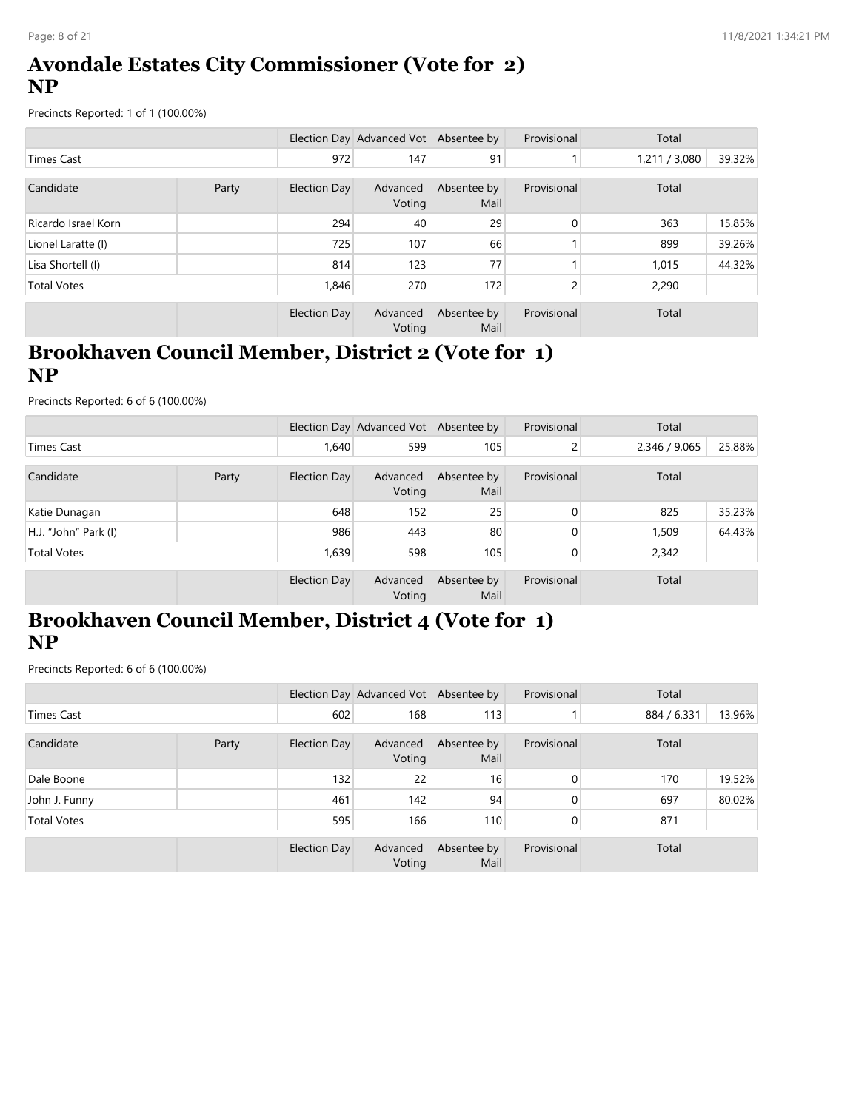### **Avondale Estates City Commissioner (Vote for 2) NP**

Precincts Reported: 1 of 1 (100.00%)

|                     |       |              | Election Day Advanced Vot Absentee by |                     | Provisional | Total       |        |
|---------------------|-------|--------------|---------------------------------------|---------------------|-------------|-------------|--------|
| Times Cast          |       | 972          | 147                                   | 91                  |             | 1,211/3,080 | 39.32% |
| Candidate           | Party | Election Day | Advanced<br>Voting                    | Absentee by<br>Mail | Provisional | Total       |        |
| Ricardo Israel Korn |       | 294          | 40                                    | 29                  | 0           | 363         | 15.85% |
| Lionel Laratte (I)  |       | 725          | 107                                   | 66                  |             | 899         | 39.26% |
| Lisa Shortell (I)   |       | 814          | 123                                   | 77                  |             | 1,015       | 44.32% |
| <b>Total Votes</b>  |       | 1,846        | 270                                   | 172                 | 2           | 2,290       |        |
|                     |       | Election Day | Advanced<br>Voting                    | Absentee by<br>Mail | Provisional | Total       |        |

# **Brookhaven Council Member, District 2 (Vote for 1) NP**

Precincts Reported: 6 of 6 (100.00%)

|                      |       |              | Election Day Advanced Vot Absentee by |                     | Provisional | Total         |        |
|----------------------|-------|--------------|---------------------------------------|---------------------|-------------|---------------|--------|
| Times Cast           |       | 1.640        | 599                                   | 105                 | ے           | 2,346 / 9,065 | 25.88% |
| Candidate            | Party | Election Day | Advanced<br>Voting                    | Absentee by<br>Mail | Provisional | Total         |        |
| Katie Dunagan        |       | 648          | 152                                   | 25                  | 0           | 825           | 35.23% |
| H.J. "John" Park (I) |       | 986          | 443                                   | 80                  |             | 1,509         | 64.43% |
| <b>Total Votes</b>   |       | 1,639        | 598                                   | 105                 | 0           | 2,342         |        |
|                      |       | Election Day | Advanced<br>Voting                    | Absentee by<br>Mail | Provisional | Total         |        |

# **Brookhaven Council Member, District 4 (Vote for 1) NP**

|                    |       |                     | Election Day Advanced Vot Absentee by |                     | Provisional | Total       |        |
|--------------------|-------|---------------------|---------------------------------------|---------------------|-------------|-------------|--------|
| Times Cast         |       | 602                 | 168                                   | 113                 |             | 884 / 6,331 | 13.96% |
| Candidate          | Party | Election Day        | Advanced<br>Voting                    | Absentee by<br>Mail | Provisional | Total       |        |
| Dale Boone         |       | 132                 | 22                                    | 16                  | 0           | 170         | 19.52% |
| John J. Funny      |       | 461                 | 142                                   | 94                  | 0           | 697         | 80.02% |
| <b>Total Votes</b> |       | 595                 | 166                                   | 110                 | 0           | 871         |        |
|                    |       | <b>Election Day</b> | Advanced<br>Voting                    | Absentee by<br>Mail | Provisional | Total       |        |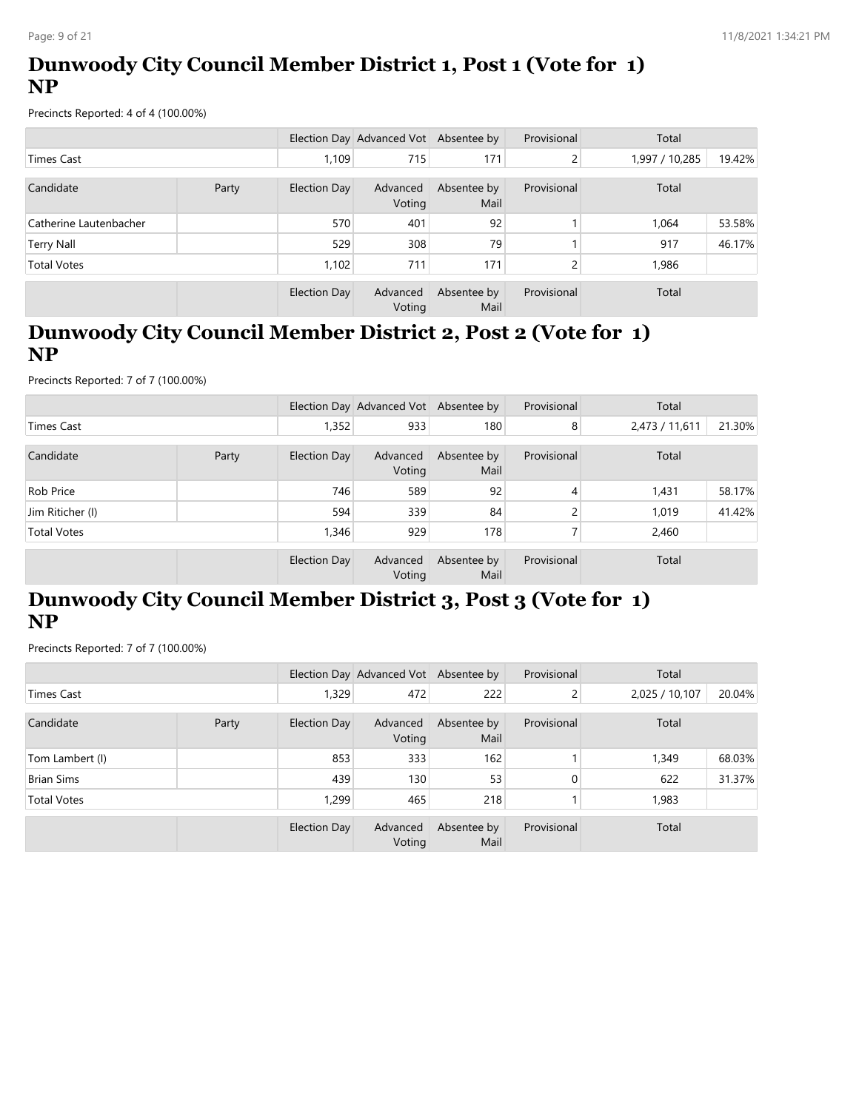# **Dunwoody City Council Member District 1, Post 1 (Vote for 1) NP**

Precincts Reported: 4 of 4 (100.00%)

|                        |       |                     | Election Day Advanced Vot Absentee by |                     | Provisional | Total          |        |
|------------------------|-------|---------------------|---------------------------------------|---------------------|-------------|----------------|--------|
| <b>Times Cast</b>      |       | 1.109               | 715                                   | 171                 | C.<br>ے     | 1,997 / 10,285 | 19.42% |
| Candidate              | Party | Election Day        | Advanced<br>Voting                    | Absentee by<br>Mail | Provisional | Total          |        |
| Catherine Lautenbacher |       | 570                 | 401                                   | 92                  |             | 1,064          | 53.58% |
| Terry Nall             |       | 529                 | 308                                   | 79                  |             | 917            | 46.17% |
| <b>Total Votes</b>     |       | 1,102               | 711                                   | 171                 |             | 1,986          |        |
|                        |       | <b>Election Day</b> | Advanced<br>Voting                    | Absentee by<br>Mail | Provisional | Total          |        |

# **Dunwoody City Council Member District 2, Post 2 (Vote for 1) NP**

Precincts Reported: 7 of 7 (100.00%)

|                    |       |              | Election Day Advanced Vot Absentee by |                     | Provisional | Total          |        |
|--------------------|-------|--------------|---------------------------------------|---------------------|-------------|----------------|--------|
| <b>Times Cast</b>  |       | 1,352        | 933                                   | 180                 | 8           | 2,473 / 11,611 | 21.30% |
| Candidate          | Party | Election Day | Advanced<br>Voting                    | Absentee by<br>Mail | Provisional | Total          |        |
| <b>Rob Price</b>   |       | 746          | 589                                   | 92                  | 4           | 1,431          | 58.17% |
| Jim Riticher (I)   |       | 594          | 339                                   | 84                  |             | 1,019          | 41.42% |
| <b>Total Votes</b> |       | 1,346        | 929                                   | 178                 |             | 2,460          |        |
|                    |       | Election Day | Advanced<br>Voting                    | Absentee by<br>Mail | Provisional | Total          |        |

# **Dunwoody City Council Member District 3, Post 3 (Vote for 1) NP**

|                    |       |              | Election Day Advanced Vot Absentee by |                     | Provisional | Total          |        |
|--------------------|-------|--------------|---------------------------------------|---------------------|-------------|----------------|--------|
| <b>Times Cast</b>  |       | 1,329        | 472                                   | 222                 | 2           | 2,025 / 10,107 | 20.04% |
| Candidate          | Party | Election Day | Advanced<br>Voting                    | Absentee by<br>Mail | Provisional | Total          |        |
| Tom Lambert (I)    |       | 853          | 333                                   | 162                 |             | 1,349          | 68.03% |
| <b>Brian Sims</b>  |       | 439          | 130 <sub>1</sub>                      | 53                  | $\Omega$    | 622            | 31.37% |
| <b>Total Votes</b> |       | 1,299        | 465                                   | 218                 |             | 1,983          |        |
|                    |       | Election Day | Advanced<br>Voting                    | Absentee by<br>Mail | Provisional | Total          |        |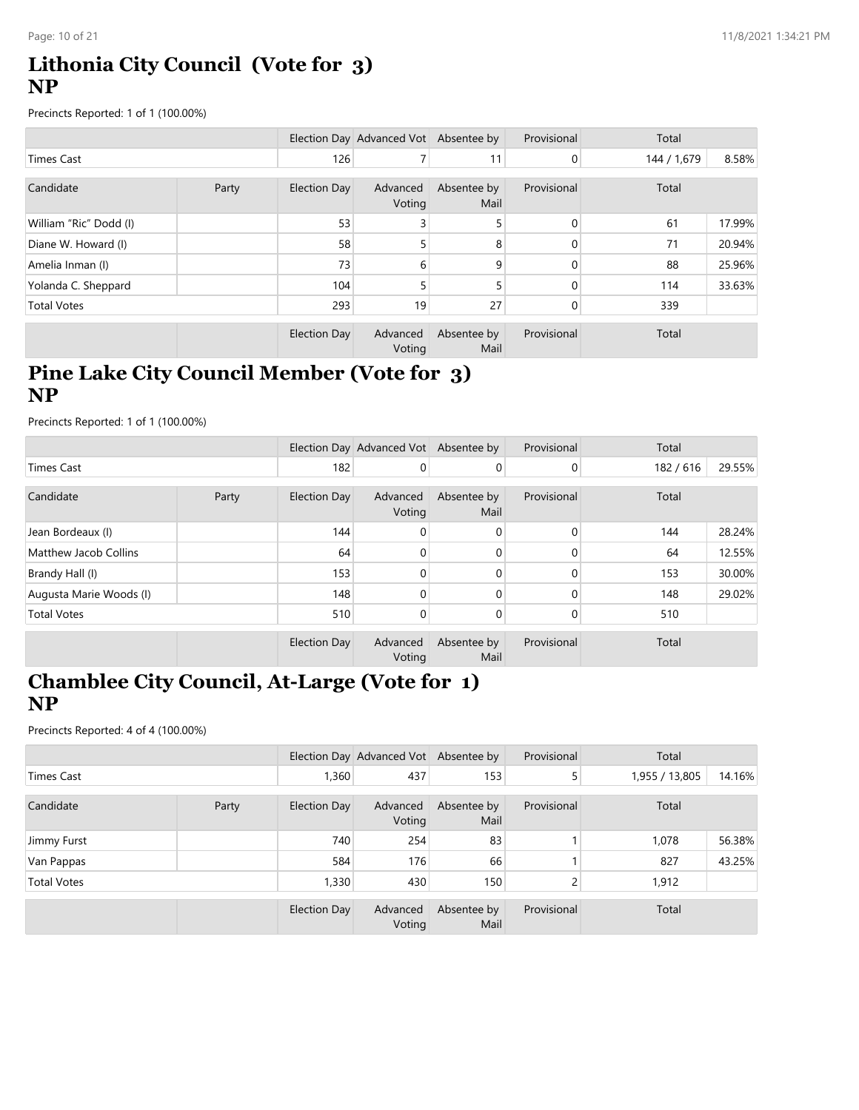### **Lithonia City Council (Vote for 3) NP**

Precincts Reported: 1 of 1 (100.00%)

|                        |       |              | Election Day Advanced Vot Absentee by |                     | Provisional | Total       |        |
|------------------------|-------|--------------|---------------------------------------|---------------------|-------------|-------------|--------|
| Times Cast             |       | 126          |                                       | 11                  | 0           | 144 / 1,679 | 8.58%  |
| Candidate              | Party | Election Day | Advanced<br>Voting                    | Absentee by<br>Mail | Provisional | Total       |        |
| William "Ric" Dodd (I) |       | 53           | 3                                     |                     | 0           | 61          | 17.99% |
| Diane W. Howard (I)    |       | 58           | 5                                     | 8                   | 0           | 71          | 20.94% |
| Amelia Inman (I)       |       | 73           | 6                                     | 9                   | 0           | 88          | 25.96% |
| Yolanda C. Sheppard    |       | 104          | 5                                     |                     | $\Omega$    | 114         | 33.63% |
| <b>Total Votes</b>     |       | 293          | 19                                    | 27                  |             | 339         |        |
|                        |       | Election Day | Advanced<br>Voting                    | Absentee by<br>Mail | Provisional | Total       |        |

# **Pine Lake City Council Member (Vote for 3) NP**

Precincts Reported: 1 of 1 (100.00%)

|                         |       |              | Election Day Advanced Vot Absentee by |                     | Provisional  | Total   |        |
|-------------------------|-------|--------------|---------------------------------------|---------------------|--------------|---------|--------|
| Times Cast              |       | 182          | 0                                     | $\overline{0}$      | 0            | 182/616 | 29.55% |
| Candidate               | Party | Election Day | Advanced<br>Voting                    | Absentee by<br>Mail | Provisional  | Total   |        |
| Jean Bordeaux (I)       |       | 144          | 0                                     | $\mathbf 0$         | $\mathbf{0}$ | 144     | 28.24% |
| Matthew Jacob Collins   |       | 64           | $\mathbf{0}$                          | $\mathbf{0}$        | 0            | 64      | 12.55% |
| Brandy Hall (I)         |       | 153          | $\Omega$                              | $\Omega$            | 0            | 153     | 30.00% |
| Augusta Marie Woods (I) |       | 148          | 0                                     | $\Omega$            | 0            | 148     | 29.02% |
| <b>Total Votes</b>      |       | 510          | 0                                     | 0                   | 0            | 510     |        |
|                         |       | Election Day | Advanced<br>Voting                    | Absentee by<br>Mail | Provisional  | Total   |        |

### **Chamblee City Council, At-Large (Vote for 1) NP**

|                    |       |              | Election Day Advanced Vot Absentee by |                     | Provisional | Total          |        |
|--------------------|-------|--------------|---------------------------------------|---------------------|-------------|----------------|--------|
| Times Cast         |       | 1,360        | 437                                   | 153                 | 5           | 1,955 / 13,805 | 14.16% |
| Candidate          | Party | Election Day | Advanced<br>Voting                    | Absentee by<br>Mail | Provisional | Total          |        |
| Jimmy Furst        |       | 740          | 254                                   | 83                  |             | 1,078          | 56.38% |
| Van Pappas         |       | 584          | 176                                   | 66                  |             | 827            | 43.25% |
| <b>Total Votes</b> |       | 1,330        | 430                                   | 150                 | C.<br>۷     | 1,912          |        |
|                    |       | Election Day | Advanced<br>Voting                    | Absentee by<br>Mail | Provisional | Total          |        |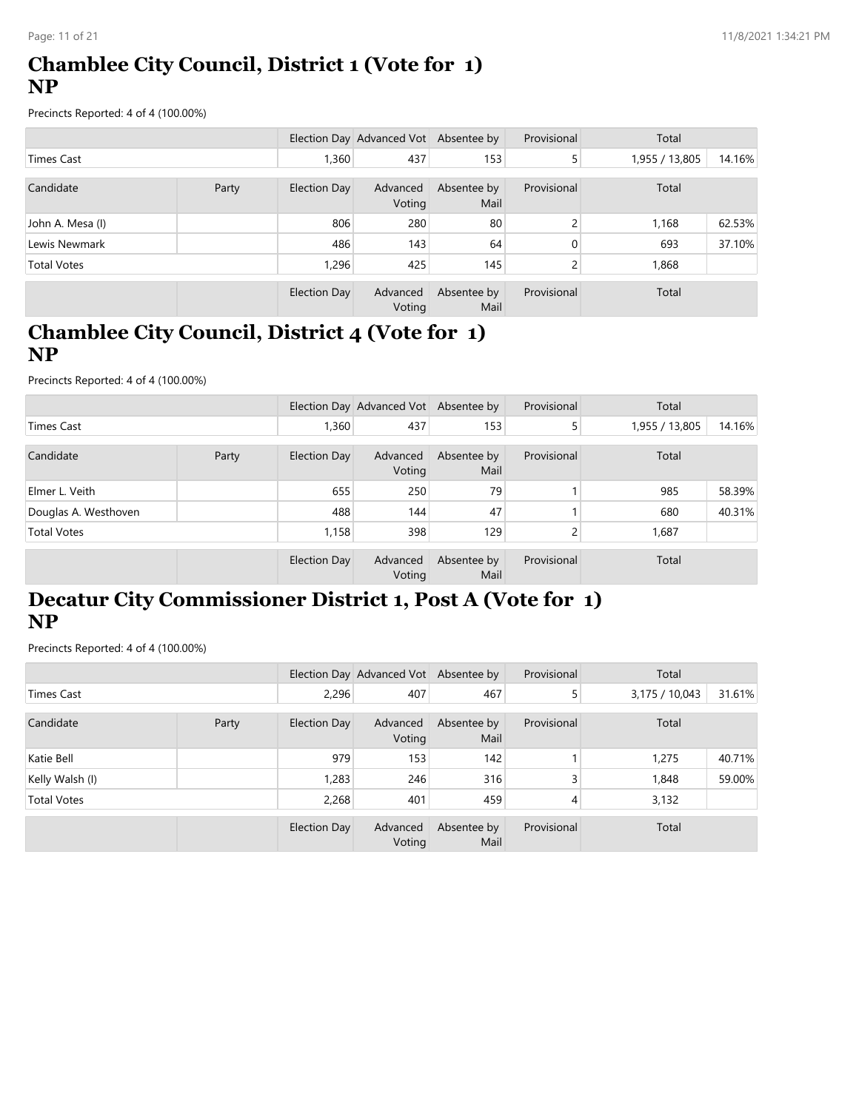### **Chamblee City Council, District 1 (Vote for 1) NP**

Precincts Reported: 4 of 4 (100.00%)

|                    |       |              | Election Day Advanced Vot Absentee by |                     | Provisional   | Total          |        |
|--------------------|-------|--------------|---------------------------------------|---------------------|---------------|----------------|--------|
| Times Cast         |       | 1,360        | 437                                   | 153                 | 5             | 1,955 / 13,805 | 14.16% |
| Candidate          | Party | Election Day | Advanced<br>Voting                    | Absentee by<br>Mail | Provisional   | Total          |        |
| John A. Mesa (I)   |       | 806          | 280                                   | 80                  | C.            | 1,168          | 62.53% |
| Lewis Newmark      |       | 486          | 143                                   | 64                  | $\Omega$      | 693            | 37.10% |
| <b>Total Votes</b> |       | 1,296        | 425                                   | 145                 | $\mathcal{L}$ | 1,868          |        |
|                    |       | Election Day | Advanced<br>Voting                    | Absentee by<br>Mail | Provisional   | Total          |        |

# **Chamblee City Council, District 4 (Vote for 1) NP**

Precincts Reported: 4 of 4 (100.00%)

|                      |       |                     | Election Day Advanced Vot Absentee by |                     | Provisional | Total          |        |
|----------------------|-------|---------------------|---------------------------------------|---------------------|-------------|----------------|--------|
| <b>Times Cast</b>    |       | 1,360               | 437                                   | 153                 | 5           | 1,955 / 13,805 | 14.16% |
| Candidate            | Party | <b>Election Day</b> | Advanced<br>Voting                    | Absentee by<br>Mail | Provisional | Total          |        |
| Elmer L. Veith       |       | 655                 | 250                                   | 79                  |             | 985            | 58.39% |
| Douglas A. Westhoven |       | 488                 | 144                                   | 47                  |             | 680            | 40.31% |
| <b>Total Votes</b>   |       | 1,158               | 398                                   | 129                 |             | 1,687          |        |
|                      |       | <b>Election Day</b> | Advanced<br>Voting                    | Absentee by<br>Mail | Provisional | Total          |        |

# **Decatur City Commissioner District 1, Post A (Vote for 1) NP**

|                    |  |              | Election Day Advanced Vot Absentee by |                     | Provisional | Total          |        |
|--------------------|--|--------------|---------------------------------------|---------------------|-------------|----------------|--------|
| <b>Times Cast</b>  |  | 2,296        | 407                                   | 467                 |             | 3,175 / 10,043 | 31.61% |
| Candidate<br>Party |  | Election Day | Advanced<br>Voting                    | Absentee by<br>Mail | Provisional | Total          |        |
| Katie Bell         |  | 979          | 153                                   | 142                 |             | 1,275          | 40.71% |
| Kelly Walsh (I)    |  | 1,283        | 246                                   | 316                 | 3           | 1,848          | 59.00% |
| <b>Total Votes</b> |  | 2,268        | 401                                   | 459                 | 4           | 3,132          |        |
|                    |  | Election Day | Advanced<br>Voting                    | Absentee by<br>Mail | Provisional | Total          |        |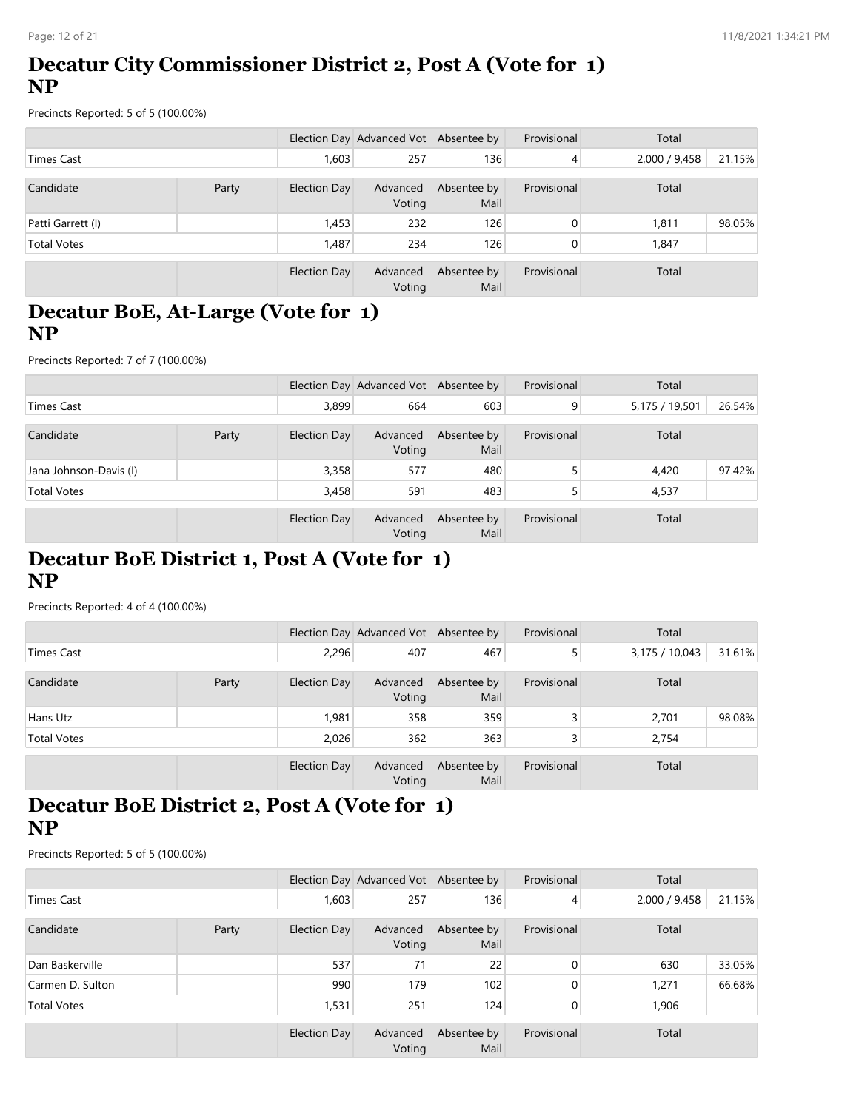# **Decatur City Commissioner District 2, Post A (Vote for 1) NP**

Precincts Reported: 5 of 5 (100.00%)

|                    |  |              | Election Day Advanced Vot Absentee by |                     | Provisional    | Total         |        |
|--------------------|--|--------------|---------------------------------------|---------------------|----------------|---------------|--------|
| Times Cast         |  | 1,603        | 257                                   | 136                 | 4              | 2,000 / 9,458 | 21.15% |
| Candidate<br>Party |  | Election Day | Advanced<br>Voting                    | Absentee by<br>Mail | Provisional    | Total         |        |
| Patti Garrett (I)  |  | 1,453        | 232                                   | 126                 | $\overline{0}$ | 1,811         | 98.05% |
| <b>Total Votes</b> |  | 1,487        | 234                                   | 126                 | $\overline{0}$ | 1,847         |        |
|                    |  | Election Day | Advanced<br>Voting                    | Absentee by<br>Mail | Provisional    | Total         |        |

### **Decatur BoE, At-Large (Vote for 1) NP**

Precincts Reported: 7 of 7 (100.00%)

|                        |       |              | Election Day Advanced Vot Absentee by |                     | Provisional | Total          |        |
|------------------------|-------|--------------|---------------------------------------|---------------------|-------------|----------------|--------|
| Times Cast             |       | 3,899        | 664                                   | 603                 | 9           | 5,175 / 19,501 | 26.54% |
| Candidate              | Party | Election Day | Advanced<br>Voting                    | Absentee by<br>Mail | Provisional | Total          |        |
| Jana Johnson-Davis (I) |       | 3,358        | 577                                   | 480                 |             | 4,420          | 97.42% |
| <b>Total Votes</b>     |       | 3,458        | 591                                   | 483                 |             | 4,537          |        |
|                        |       | Election Day | Advanced<br>Voting                    | Absentee by<br>Mail | Provisional | Total          |        |

### **Decatur BoE District 1, Post A (Vote for 1) NP**

Precincts Reported: 4 of 4 (100.00%)

|                    |       |                     | Election Day Advanced Vot Absentee by |                     | Provisional | Total          |        |
|--------------------|-------|---------------------|---------------------------------------|---------------------|-------------|----------------|--------|
| Times Cast         |       | 2,296               | 407                                   | 467                 |             | 3,175 / 10,043 | 31.61% |
| Candidate          | Party | <b>Election Day</b> | Advanced<br>Voting                    | Absentee by<br>Mail | Provisional | Total          |        |
| Hans Utz           |       | 1,981               | 358                                   | 359                 |             | 2,701          | 98.08% |
| <b>Total Votes</b> |       | 2,026               | 362                                   | 363                 | 3           | 2,754          |        |
|                    |       | Election Day        | Advanced<br>Voting                    | Absentee by<br>Mail | Provisional | Total          |        |

# **Decatur BoE District 2, Post A (Vote for 1) NP**

|                    |       |                     | Election Day Advanced Vot Absentee by |                     | Provisional  | Total         |        |
|--------------------|-------|---------------------|---------------------------------------|---------------------|--------------|---------------|--------|
| <b>Times Cast</b>  |       | 1,603               | 257                                   | 136                 | 4            | 2,000 / 9,458 | 21.15% |
| Candidate          | Party | <b>Election Day</b> | Advanced<br>Voting                    | Absentee by<br>Mail | Provisional  | Total         |        |
| Dan Baskerville    |       | 537                 | 71                                    | 22                  | $\Omega$     | 630           | 33.05% |
| Carmen D. Sulton   |       | 990                 | 179                                   | 102                 | $\Omega$     | 1,271         | 66.68% |
| <b>Total Votes</b> |       | 1,531               | 251                                   | 124                 | $\mathbf{0}$ | 1,906         |        |
|                    |       | Election Day        | Advanced<br>Voting                    | Absentee by<br>Mail | Provisional  | Total         |        |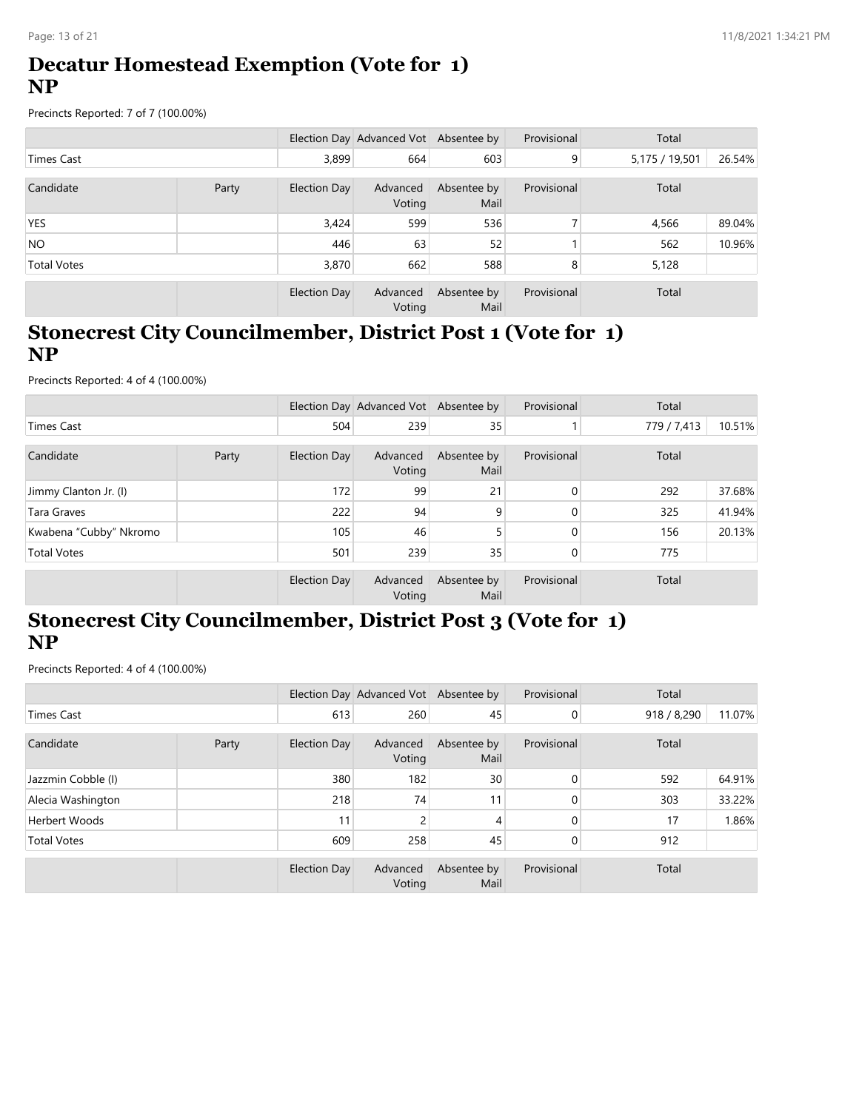### **Decatur Homestead Exemption (Vote for 1) NP**

Precincts Reported: 7 of 7 (100.00%)

|                    |  |                     | Election Day Advanced Vot Absentee by |                     | Provisional    | Total          |        |
|--------------------|--|---------------------|---------------------------------------|---------------------|----------------|----------------|--------|
| Times Cast         |  | 3,899               | 664                                   | 603                 | 9 <sub>l</sub> | 5,175 / 19,501 | 26.54% |
| Candidate<br>Party |  | <b>Election Day</b> | Advanced<br>Voting                    | Absentee by<br>Mail | Provisional    | Total          |        |
| <b>YES</b>         |  | 3,424               | 599                                   | 536                 |                | 4,566          | 89.04% |
| NO <sub>1</sub>    |  | 446                 | 63                                    | 52                  |                | 562            | 10.96% |
| <b>Total Votes</b> |  | 3,870               | 662                                   | 588                 | 8              | 5,128          |        |
|                    |  | <b>Election Day</b> | Advanced<br>Voting                    | Absentee by<br>Mail | Provisional    | Total          |        |

# **Stonecrest City Councilmember, District Post 1 (Vote for 1) NP**

Precincts Reported: 4 of 4 (100.00%)

|                        |       |                     | Election Day Advanced Vot Absentee by |                     | Provisional | Total       |        |
|------------------------|-------|---------------------|---------------------------------------|---------------------|-------------|-------------|--------|
| Times Cast             |       | 504                 | 239                                   | 35                  |             | 779 / 7,413 | 10.51% |
| Candidate              | Party | <b>Election Day</b> | Advanced<br>Voting                    | Absentee by<br>Mail | Provisional | Total       |        |
| Jimmy Clanton Jr. (I)  |       | 172                 | 99                                    | 21                  | $\Omega$    | 292         | 37.68% |
| Tara Graves            |       | 222                 | 94                                    | 9                   | 0           | 325         | 41.94% |
| Kwabena "Cubby" Nkromo |       | 105                 | 46                                    |                     |             | 156         | 20.13% |
| <b>Total Votes</b>     |       | 501                 | 239                                   | 35                  | 0           | 775         |        |
|                        |       | <b>Election Day</b> | Advanced<br>Voting                    | Absentee by<br>Mail | Provisional | Total       |        |

# **Stonecrest City Councilmember, District Post 3 (Vote for 1) NP**

|                      |       |                     | Election Day Advanced Vot Absentee by |                     | Provisional    | Total       |        |
|----------------------|-------|---------------------|---------------------------------------|---------------------|----------------|-------------|--------|
| <b>Times Cast</b>    |       | 613                 | 260                                   | 45                  | $\overline{0}$ | 918 / 8,290 | 11.07% |
| Candidate            | Party | <b>Election Day</b> | Advanced<br>Voting                    | Absentee by<br>Mail | Provisional    | Total       |        |
| Jazzmin Cobble (I)   |       | 380                 | 182                                   | 30                  | 0              | 592         | 64.91% |
| Alecia Washington    |       | 218                 | 74                                    | 11                  | 0              | 303         | 33.22% |
| <b>Herbert Woods</b> |       | 11                  | 2                                     | 4                   | $\Omega$       | 17          | 1.86%  |
| <b>Total Votes</b>   |       | 609                 | 258                                   | 45                  | $\overline{0}$ | 912         |        |
|                      |       | Election Day        | Advanced<br>Voting                    | Absentee by<br>Mail | Provisional    | Total       |        |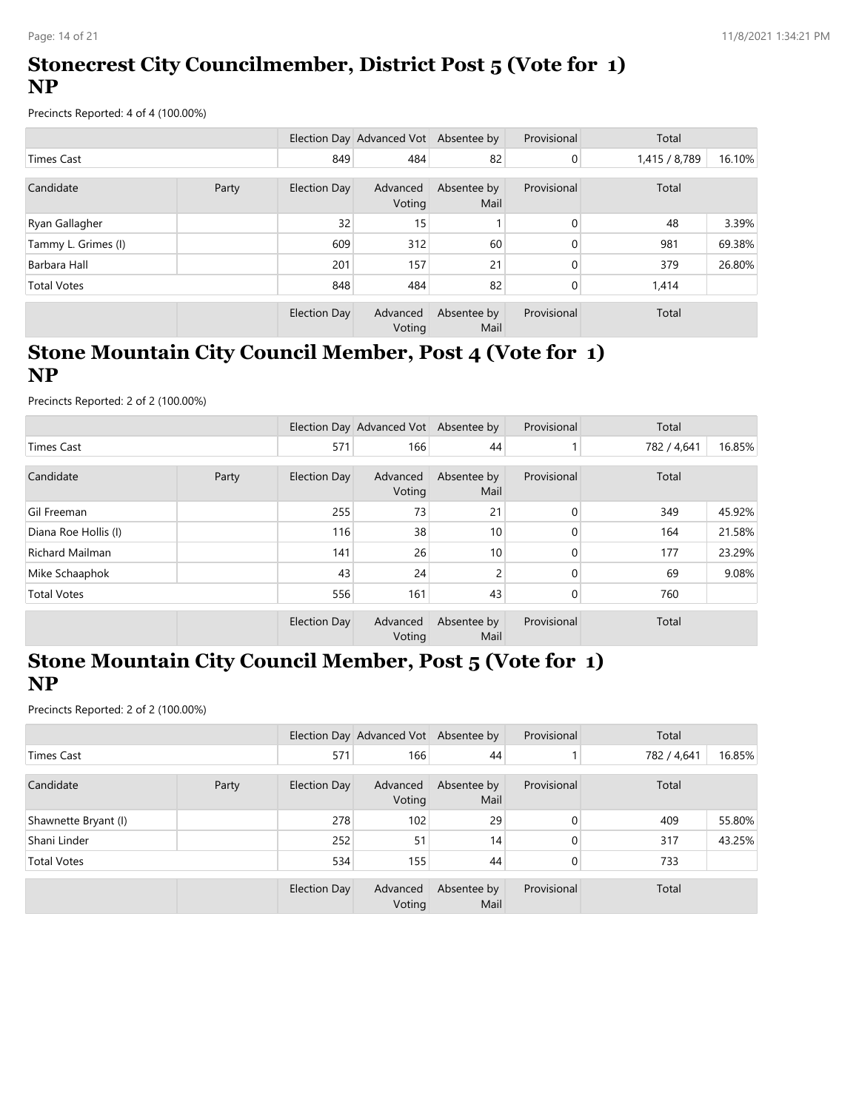# **Stonecrest City Councilmember, District Post 5 (Vote for 1) NP**

Precincts Reported: 4 of 4 (100.00%)

|                     |       |                     | Election Day Advanced Vot Absentee by |                     | Provisional    | Total         |        |
|---------------------|-------|---------------------|---------------------------------------|---------------------|----------------|---------------|--------|
| Times Cast          |       | 849                 | 484                                   | 82                  | $\overline{0}$ | 1,415 / 8,789 | 16.10% |
| Candidate           | Party | Election Day        | Advanced<br>Voting                    | Absentee by<br>Mail | Provisional    | Total         |        |
| Ryan Gallagher      |       | 32                  | 15                                    |                     | $\mathbf{0}$   | 48            | 3.39%  |
| Tammy L. Grimes (I) |       | 609                 | 312                                   | 60                  | 0              | 981           | 69.38% |
| Barbara Hall        |       | 201                 | 157                                   | 21                  | $\Omega$       | 379           | 26.80% |
| <b>Total Votes</b>  |       | 848                 | 484                                   | 82                  | 0              | 1,414         |        |
|                     |       | <b>Election Day</b> | Advanced<br>Voting                    | Absentee by<br>Mail | Provisional    | Total         |        |

### **Stone Mountain City Council Member, Post 4 (Vote for 1) NP**

Precincts Reported: 2 of 2 (100.00%)

|                        |       |                     | Election Day Advanced Vot Absentee by |                     | Provisional  | Total       |        |
|------------------------|-------|---------------------|---------------------------------------|---------------------|--------------|-------------|--------|
| Times Cast             |       | 571                 | 166                                   | 44                  |              | 782 / 4,641 | 16.85% |
| Candidate              | Party | <b>Election Day</b> | Advanced<br>Voting                    | Absentee by<br>Mail | Provisional  | Total       |        |
| Gil Freeman            |       | 255                 | 73                                    | 21                  | $\mathbf{0}$ | 349         | 45.92% |
| Diana Roe Hollis (I)   |       | 116                 | 38                                    | 10                  | 0            | 164         | 21.58% |
| <b>Richard Mailman</b> |       | 141                 | 26                                    | 10                  | $\Omega$     | 177         | 23.29% |
| Mike Schaaphok         |       | 43                  | 24                                    | 2                   | $\Omega$     | 69          | 9.08%  |
| <b>Total Votes</b>     |       | 556                 | 161                                   | 43                  | 0            | 760         |        |
|                        |       | <b>Election Day</b> | Advanced<br>Voting                    | Absentee by<br>Mail | Provisional  | Total       |        |

#### **Stone Mountain City Council Member, Post 5 (Vote for 1) NP**

|                      |  |              | Election Day Advanced Vot Absentee by |                     | Provisional  | Total       |        |
|----------------------|--|--------------|---------------------------------------|---------------------|--------------|-------------|--------|
| <b>Times Cast</b>    |  | 571          | 166                                   | 44                  |              | 782 / 4,641 | 16.85% |
| Candidate<br>Party   |  | Election Day | Advanced<br>Voting                    | Absentee by<br>Mail | Provisional  | Total       |        |
| Shawnette Bryant (I) |  | 278          | 102                                   | 29                  | $\mathbf{0}$ | 409         | 55.80% |
| Shani Linder         |  | 252          | 51                                    | 14                  | $\Omega$     | 317         | 43.25% |
| <b>Total Votes</b>   |  | 534          | 155                                   | 44                  | 0            | 733         |        |
|                      |  | Election Day | Advanced<br>Voting                    | Absentee by<br>Mail | Provisional  | Total       |        |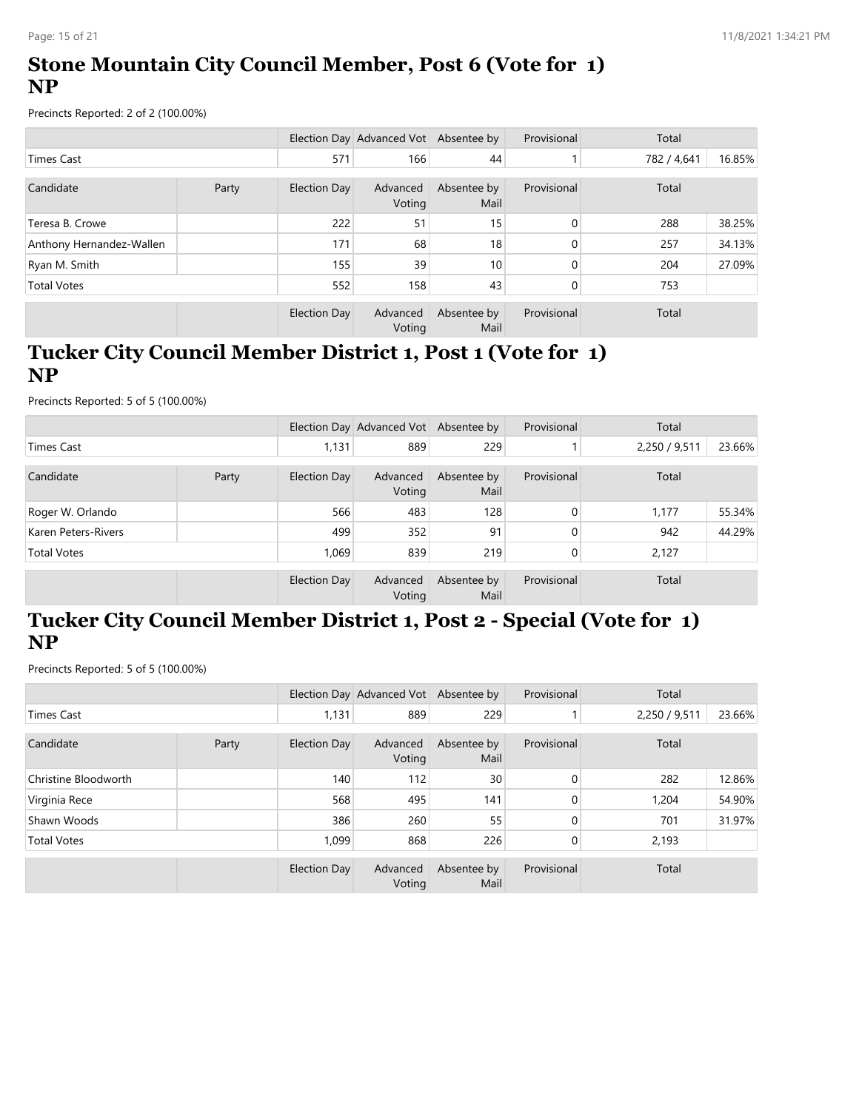# **Stone Mountain City Council Member, Post 6 (Vote for 1) NP**

Precincts Reported: 2 of 2 (100.00%)

|                          |  |              | Election Day Advanced Vot Absentee by |                     | Provisional  | Total       |        |
|--------------------------|--|--------------|---------------------------------------|---------------------|--------------|-------------|--------|
| Times Cast               |  | 571          | 166                                   | 44                  |              | 782 / 4,641 | 16.85% |
| Candidate<br>Party       |  | Election Day | Advanced<br>Voting                    | Absentee by<br>Mail | Provisional  | Total       |        |
| Teresa B. Crowe          |  | 222          | 51                                    | 15                  | $\mathbf{0}$ | 288         | 38.25% |
| Anthony Hernandez-Wallen |  | 171          | 68                                    | 18                  | 0            | 257         | 34.13% |
| Ryan M. Smith            |  | 155          | 39                                    | 10 <sup>1</sup>     | $\Omega$     | 204         | 27.09% |
| <b>Total Votes</b>       |  | 552          | 158                                   | 43                  | 0            | 753         |        |
|                          |  | Election Day | Advanced<br>Voting                    | Absentee by<br>Mail | Provisional  | Total       |        |

### **Tucker City Council Member District 1, Post 1 (Vote for 1) NP**

Precincts Reported: 5 of 5 (100.00%)

|                     |       |              | Election Day Advanced Vot Absentee by |                     | Provisional | Total         |        |
|---------------------|-------|--------------|---------------------------------------|---------------------|-------------|---------------|--------|
| <b>Times Cast</b>   |       | 1,131        | 889                                   | 229                 |             | 2,250 / 9,511 | 23.66% |
| Candidate           | Party | Election Day | Advanced<br>Voting                    | Absentee by<br>Mail | Provisional | Total         |        |
| Roger W. Orlando    |       | 566          | 483                                   | 128                 | 0           | 1,177         | 55.34% |
| Karen Peters-Rivers |       | 499          | 352                                   | 91                  |             | 942           | 44.29% |
| <b>Total Votes</b>  |       | 1.069        | 839                                   | 219                 |             | 2,127         |        |
|                     |       | Election Day | Advanced<br>Voting                    | Absentee by<br>Mail | Provisional | Total         |        |

# **Tucker City Council Member District 1, Post 2 - Special (Vote for 1) NP**

|                      |       |              | Election Day Advanced Vot Absentee by |                     | Provisional  | Total         |        |
|----------------------|-------|--------------|---------------------------------------|---------------------|--------------|---------------|--------|
| <b>Times Cast</b>    |       | 1,131        | 889                                   | 229                 |              | 2,250 / 9,511 | 23.66% |
| Candidate            | Party | Election Day | Advanced<br>Voting                    | Absentee by<br>Mail | Provisional  | Total         |        |
| Christine Bloodworth |       | 140          | 112                                   | 30                  | $\mathbf{0}$ | 282           | 12.86% |
| Virginia Rece        |       | 568          | 495                                   | 141                 | $\Omega$     | 1,204         | 54.90% |
| Shawn Woods          |       | 386          | 260                                   | 55                  | $\Omega$     | 701           | 31.97% |
| <b>Total Votes</b>   |       | 1,099        | 868                                   | 226                 | $\mathbf{0}$ | 2,193         |        |
|                      |       | Election Day | Advanced<br>Voting                    | Absentee by<br>Mail | Provisional  | Total         |        |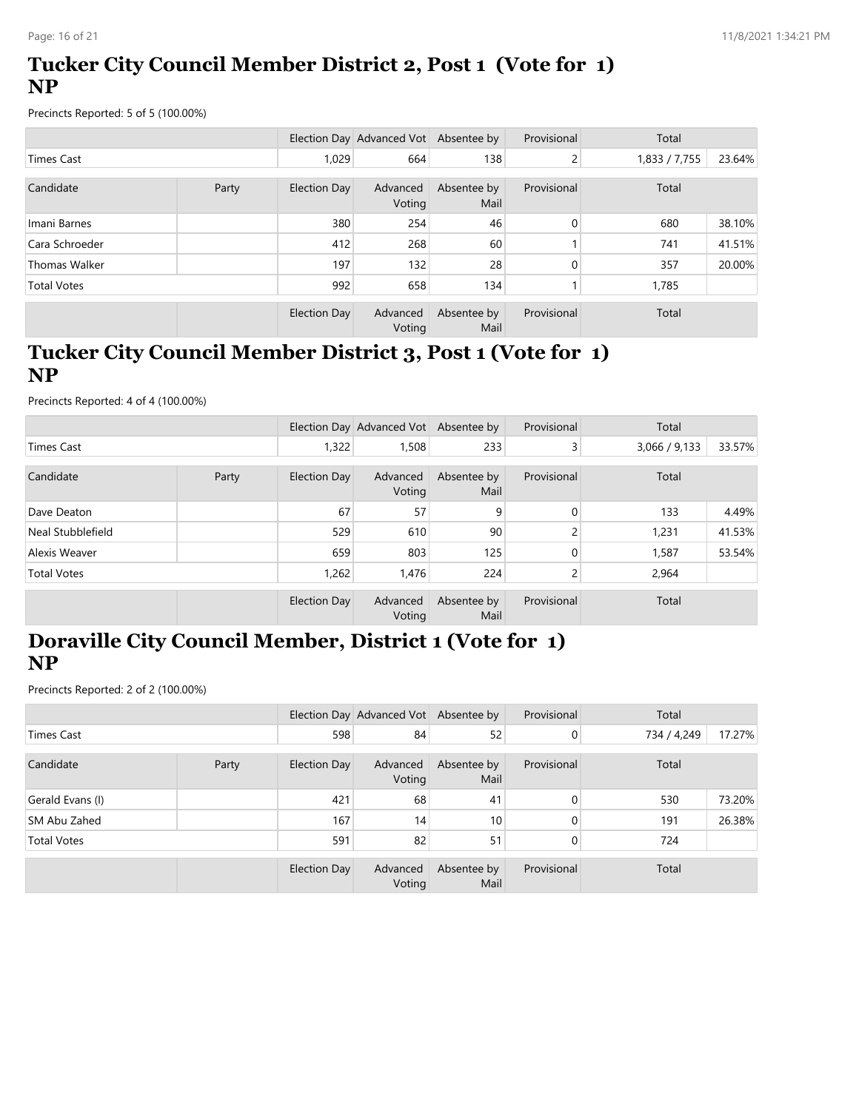# **Tucker City Council Member District 2, Post 1 (Vote for 1) NP**

Precincts Reported: 5 of 5 (100.00%)

|                    |       |              | Election Day Advanced Vot Absentee by |                     | Provisional | Total         |        |
|--------------------|-------|--------------|---------------------------------------|---------------------|-------------|---------------|--------|
| Times Cast         |       | 1,029        | 664                                   | 138                 | 2           | 1,833 / 7,755 | 23.64% |
| Candidate          | Party | Election Day | Advanced<br>Voting                    | Absentee by<br>Mail | Provisional | Total         |        |
| Imani Barnes       |       | 380          | 254                                   | 46                  | $\Omega$    | 680           | 38.10% |
| Cara Schroeder     |       | 412          | 268                                   | 60                  |             | 741           | 41.51% |
| Thomas Walker      |       | 197          | 132                                   | 28                  | 0           | 357           | 20.00% |
| <b>Total Votes</b> |       | 992          | 658                                   | 134                 |             | 1,785         |        |
|                    |       | Election Day | Advanced<br>Voting                    | Absentee by<br>Mail | Provisional | Total         |        |

# **Tucker City Council Member District 3, Post 1 (Vote for 1) NP**

Precincts Reported: 4 of 4 (100.00%)

|                    |       |              | Election Day Advanced Vot Absentee by |                     | Provisional | Total         |        |
|--------------------|-------|--------------|---------------------------------------|---------------------|-------------|---------------|--------|
| Times Cast         |       | 1,322        | 1,508                                 | 233                 | 3           | 3,066 / 9,133 | 33.57% |
| Candidate          | Party | Election Day | Advanced<br>Voting                    | Absentee by<br>Mail | Provisional | Total         |        |
| Dave Deaton        |       | 67           | 57                                    | 9                   | 0           | 133           | 4.49%  |
| Neal Stubblefield  |       | 529          | 610                                   | 90                  |             | 1,231         | 41.53% |
| Alexis Weaver      |       | 659          | 803                                   | 125                 | 0           | 1,587         | 53.54% |
| <b>Total Votes</b> |       | 1,262        | 1,476                                 | 224                 |             | 2,964         |        |
|                    |       | Election Day | Advanced<br>Voting                    | Absentee by<br>Mail | Provisional | Total         |        |

# **Doraville City Council Member, District 1 (Vote for 1) NP**

|                     |       |              | Election Day Advanced Vot Absentee by |                     | Provisional  | Total       |        |
|---------------------|-------|--------------|---------------------------------------|---------------------|--------------|-------------|--------|
| <b>Times Cast</b>   |       | 598          | 84                                    | 52                  | $\mathbf{0}$ | 734 / 4,249 | 17.27% |
| Candidate           | Party | Election Day | Advanced<br>Voting                    | Absentee by<br>Mail | Provisional  | Total       |        |
| Gerald Evans (I)    |       | 421          | 68                                    | 41                  | $\Omega$     | 530         | 73.20% |
| <b>SM Abu Zahed</b> |       | 167          | 14                                    | 10 <sup>°</sup>     | $\Omega$     | 191         | 26.38% |
| <b>Total Votes</b>  |       | 591          | 82                                    | 51                  | $\mathbf{0}$ | 724         |        |
|                     |       | Election Day | Advanced<br>Voting                    | Absentee by<br>Mail | Provisional  | Total       |        |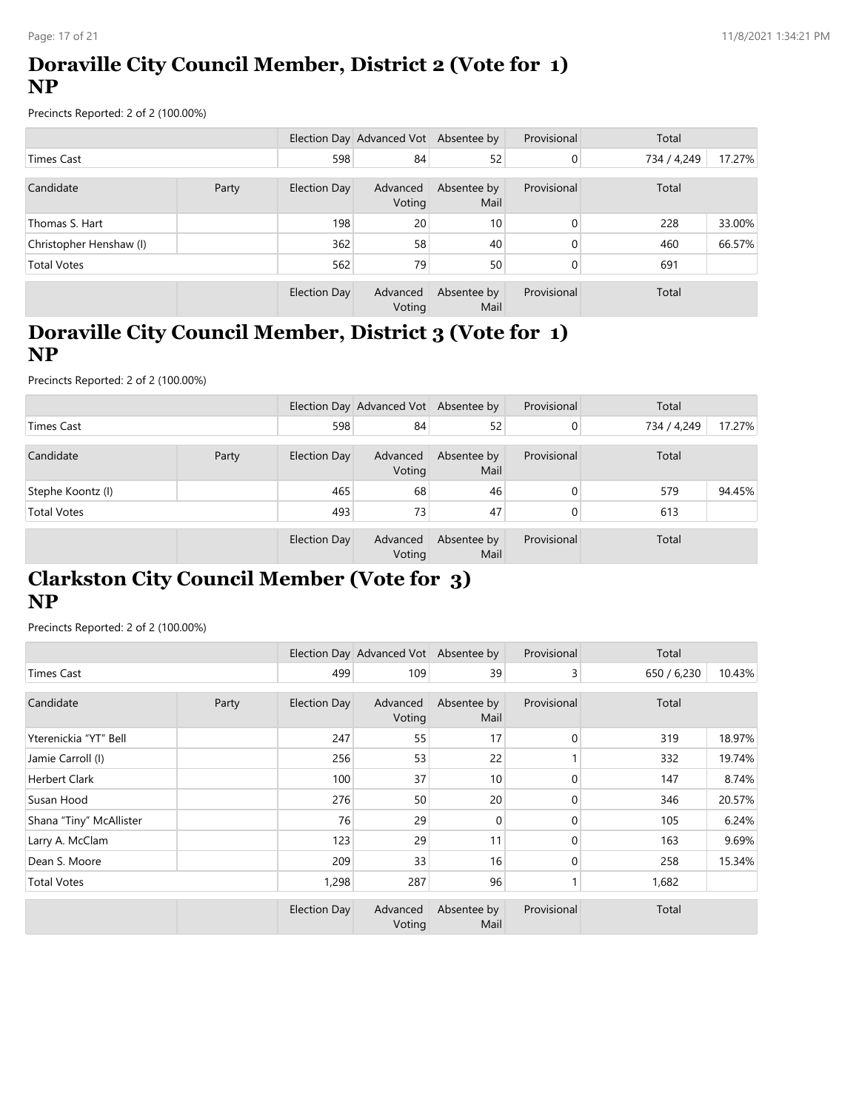# **Doraville City Council Member, District 2 (Vote for 1) NP**

Precincts Reported: 2 of 2 (100.00%)

|                         |       |                     | Election Day Advanced Vot Absentee by |                     | Provisional    | Total       |        |
|-------------------------|-------|---------------------|---------------------------------------|---------------------|----------------|-------------|--------|
| <b>Times Cast</b>       |       | 598                 | 84                                    | 52                  | $\overline{0}$ | 734 / 4,249 | 17.27% |
| Candidate               | Party | <b>Election Day</b> | Advanced<br>Voting                    | Absentee by<br>Mail | Provisional    | Total       |        |
| Thomas S. Hart          |       | 198                 | 20 <sup>1</sup>                       | 10 <sup>°</sup>     | 0              | 228         | 33.00% |
| Christopher Henshaw (I) |       | 362                 | 58                                    | 40                  | $\Omega$       | 460         | 66.57% |
| <b>Total Votes</b>      |       | 562                 | 79                                    | 50                  | 0              | 691         |        |
|                         |       | Election Day        | Advanced<br>Voting                    | Absentee by<br>Mail | Provisional    | Total       |        |

# **Doraville City Council Member, District 3 (Vote for 1) NP**

Precincts Reported: 2 of 2 (100.00%)

|                    |       |              | Election Day Advanced Vot Absentee by |                     | Provisional | Total       |        |
|--------------------|-------|--------------|---------------------------------------|---------------------|-------------|-------------|--------|
| Times Cast         |       | 598          | 84                                    | 52 <sub>1</sub>     | 0           | 734 / 4,249 | 17.27% |
| Candidate          | Party | Election Day | Advanced<br>Voting                    | Absentee by<br>Mail | Provisional | Total       |        |
| Stephe Koontz (I)  |       | 465          | 68                                    | 46                  |             | 579         | 94.45% |
| <b>Total Votes</b> |       | 493          | 73                                    | 47                  |             | 613         |        |
|                    |       | Election Day | Advanced<br>Voting                    | Absentee by<br>Mail | Provisional | Total       |        |

# **Clarkston City Council Member (Vote for 3) NP**

|                         |       |              | Election Day Advanced Vot Absentee by |                     | Provisional  | Total       |        |
|-------------------------|-------|--------------|---------------------------------------|---------------------|--------------|-------------|--------|
| <b>Times Cast</b>       |       | 499          | 109                                   | 39                  | 3            | 650 / 6,230 | 10.43% |
| Candidate               | Party | Election Day | Advanced<br>Voting                    | Absentee by<br>Mail | Provisional  | Total       |        |
| Yterenickia "YT" Bell   |       | 247          | 55                                    | 17                  | $\mathbf{0}$ | 319         | 18.97% |
| Jamie Carroll (I)       |       | 256          | 53                                    | 22                  |              | 332         | 19.74% |
| <b>Herbert Clark</b>    |       | 100          | 37                                    | 10                  | $\Omega$     | 147         | 8.74%  |
| Susan Hood              |       | 276          | 50                                    | 20                  | 0            | 346         | 20.57% |
| Shana "Tiny" McAllister |       | 76           | 29                                    | $\mathbf{0}$        | 0            | 105         | 6.24%  |
| Larry A. McClam         |       | 123          | 29                                    | 11                  | $\Omega$     | 163         | 9.69%  |
| Dean S. Moore           |       | 209          | 33                                    | 16                  | 0            | 258         | 15.34% |
| <b>Total Votes</b>      |       | 1,298        | 287                                   | 96                  |              | 1,682       |        |
|                         |       | Election Day | Advanced<br>Voting                    | Absentee by<br>Mail | Provisional  | Total       |        |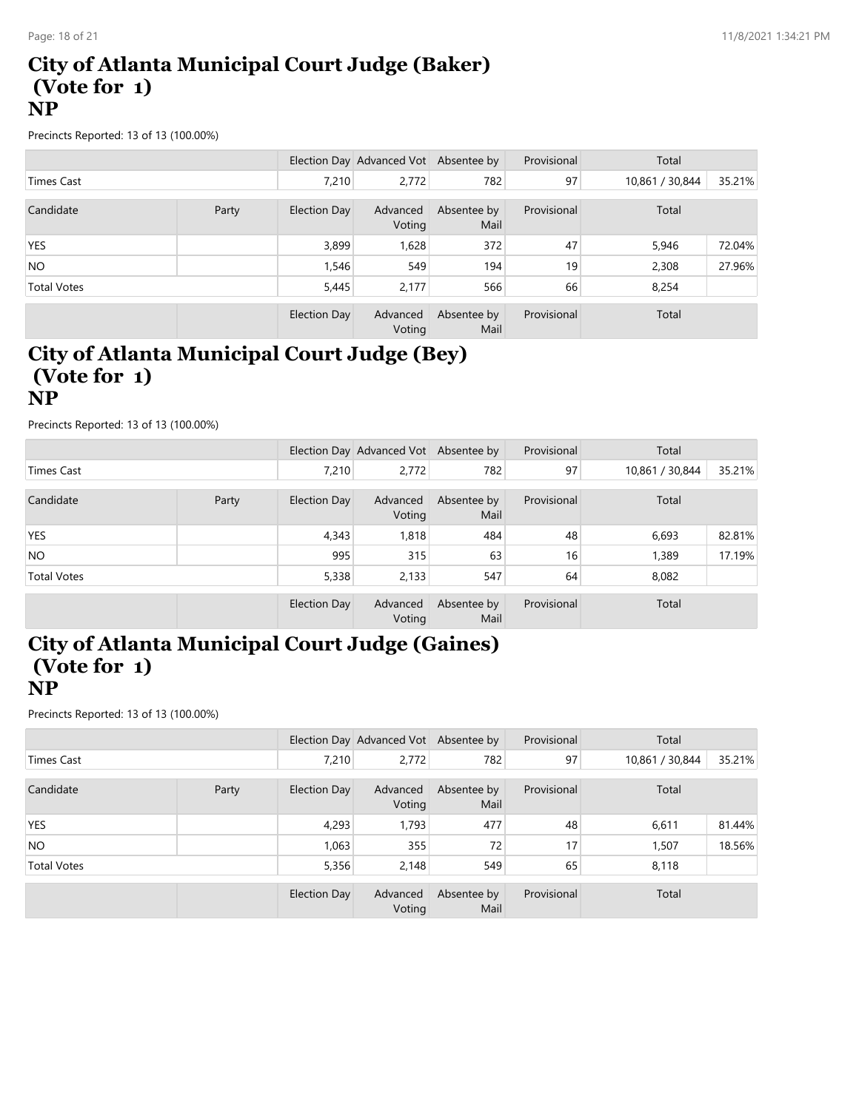#### **City of Atlanta Municipal Court Judge (Baker) (Vote for 1) NP**

Precincts Reported: 13 of 13 (100.00%)

|                    |       |              | Election Day Advanced Vot Absentee by |                     | Provisional | Total           |        |
|--------------------|-------|--------------|---------------------------------------|---------------------|-------------|-----------------|--------|
| <b>Times Cast</b>  |       | 7.210        | 2,772                                 | 782                 | 97          | 10,861 / 30,844 | 35.21% |
| Candidate          | Party | Election Day | Advanced<br>Voting                    | Absentee by<br>Mail | Provisional | Total           |        |
| <b>YES</b>         |       | 3,899        | 1,628                                 | 372                 | 47          | 5,946           | 72.04% |
| NO.                |       | 1,546        | 549                                   | 194                 | 19          | 2,308           | 27.96% |
| <b>Total Votes</b> |       | 5,445        | 2,177                                 | 566                 | 66          | 8,254           |        |
|                    |       | Election Day | Advanced<br>Voting                    | Absentee by<br>Mail | Provisional | Total           |        |

#### **City of Atlanta Municipal Court Judge (Bey) (Vote for 1) NP**

Precincts Reported: 13 of 13 (100.00%)

|                    |       |              | Election Day Advanced Vot Absentee by |                     | Provisional | Total           |        |
|--------------------|-------|--------------|---------------------------------------|---------------------|-------------|-----------------|--------|
| Times Cast         |       | 7.210        | 2,772                                 | 782                 | 97          | 10,861 / 30,844 | 35.21% |
| Candidate          | Party | Election Day | Advanced<br>Voting                    | Absentee by<br>Mail | Provisional | Total           |        |
| YES                |       | 4,343        | 1,818                                 | 484                 | 48          | 6,693           | 82.81% |
| NO <sub>1</sub>    |       | 995          | 315                                   | 63                  | 16          | 1,389           | 17.19% |
| <b>Total Votes</b> |       | 5,338        | 2,133                                 | 547                 | 64          | 8,082           |        |
|                    |       | Election Day | Advanced<br>Voting                    | Absentee by<br>Mail | Provisional | Total           |        |

### **City of Atlanta Municipal Court Judge (Gaines) (Vote for 1) NP**

|                    |       |              | Election Day Advanced Vot Absentee by |                     | Provisional | Total           |        |
|--------------------|-------|--------------|---------------------------------------|---------------------|-------------|-----------------|--------|
| <b>Times Cast</b>  |       | 7.210        | 2,772                                 | 782                 | 97          | 10,861 / 30,844 | 35.21% |
| Candidate          | Party | Election Day | Advanced<br>Voting                    | Absentee by<br>Mail | Provisional | Total           |        |
| <b>YES</b>         |       | 4,293        | 1,793                                 | 477                 | 48          | 6,611           | 81.44% |
| NO <sub>1</sub>    |       | 1.063        | 355                                   | 72                  | 17          | 1,507           | 18.56% |
| <b>Total Votes</b> |       | 5,356        | 2,148                                 | 549                 | 65          | 8,118           |        |
|                    |       | Election Day | Advanced<br>Voting                    | Absentee by<br>Mail | Provisional | Total           |        |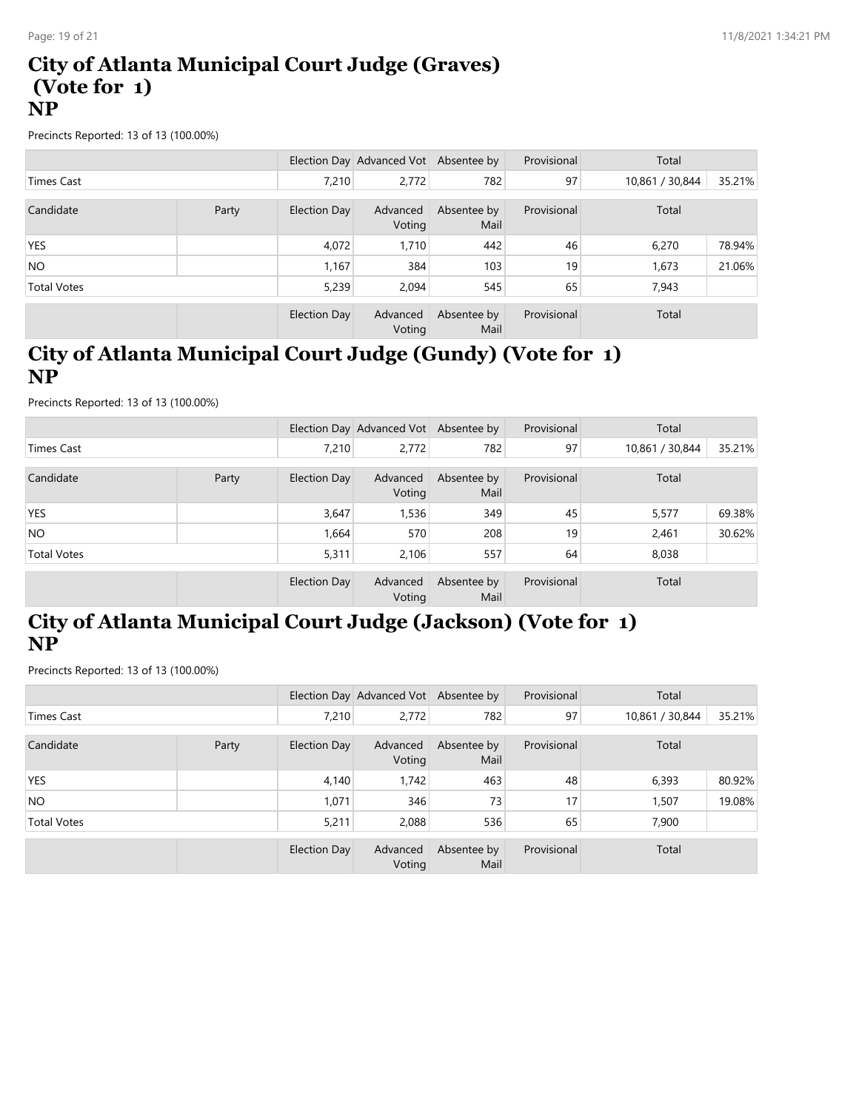#### **City of Atlanta Municipal Court Judge (Graves) (Vote for 1) NP**

Precincts Reported: 13 of 13 (100.00%)

|                    |       |              | Election Day Advanced Vot Absentee by |                     | Provisional | Total           |        |
|--------------------|-------|--------------|---------------------------------------|---------------------|-------------|-----------------|--------|
| Times Cast         |       | 7.210        | 2,772                                 | 782                 | 97          | 10,861 / 30,844 | 35.21% |
| Candidate          | Party | Election Day | Advanced<br>Voting                    | Absentee by<br>Mail | Provisional | Total           |        |
| <b>YES</b>         |       | 4,072        | 1,710                                 | 442                 | 46          | 6,270           | 78.94% |
| NO.                |       | 1,167        | 384                                   | 103                 | 19          | 1,673           | 21.06% |
| <b>Total Votes</b> |       | 5,239        | 2,094                                 | 545                 | 65          | 7,943           |        |
|                    |       | Election Day | Advanced<br>Voting                    | Absentee by<br>Mail | Provisional | Total           |        |

# **City of Atlanta Municipal Court Judge (Gundy) (Vote for 1) NP**

Precincts Reported: 13 of 13 (100.00%)

|                    |       |              | Election Day Advanced Vot Absentee by |                     | Provisional | Total           |        |
|--------------------|-------|--------------|---------------------------------------|---------------------|-------------|-----------------|--------|
| <b>Times Cast</b>  |       | 7.210        | 2,772                                 | 782                 | 97          | 10,861 / 30,844 | 35.21% |
| Candidate          | Party | Election Day | Advanced<br>Voting                    | Absentee by<br>Mail | Provisional | Total           |        |
| <b>YES</b>         |       | 3,647        | 1,536                                 | 349                 | 45          | 5,577           | 69.38% |
| NO.                |       | 1,664        | 570                                   | 208                 | 19          | 2,461           | 30.62% |
| <b>Total Votes</b> |       | 5,311        | 2.106                                 | 557                 | 64          | 8,038           |        |
|                    |       | Election Day | Advanced<br>Voting                    | Absentee by<br>Mail | Provisional | Total           |        |

# **City of Atlanta Municipal Court Judge (Jackson) (Vote for 1) NP**

|                    |       |              | Election Day Advanced Vot Absentee by |                     | Provisional | Total           |        |
|--------------------|-------|--------------|---------------------------------------|---------------------|-------------|-----------------|--------|
| <b>Times Cast</b>  |       | 7.210        | 2.772                                 | 782                 | 97          | 10,861 / 30,844 | 35.21% |
| Candidate          | Party | Election Day | Advanced<br>Voting                    | Absentee by<br>Mail | Provisional | Total           |        |
| <b>YES</b>         |       | 4,140        | 1.742                                 | 463                 | 48          | 6,393           | 80.92% |
| NO.                |       | 1.071        | 346                                   | 73                  | 17          | 1,507           | 19.08% |
| <b>Total Votes</b> |       | 5,211        | 2,088                                 | 536                 | 65          | 7,900           |        |
|                    |       | Election Day | Advanced<br>Voting                    | Absentee by<br>Mail | Provisional | Total           |        |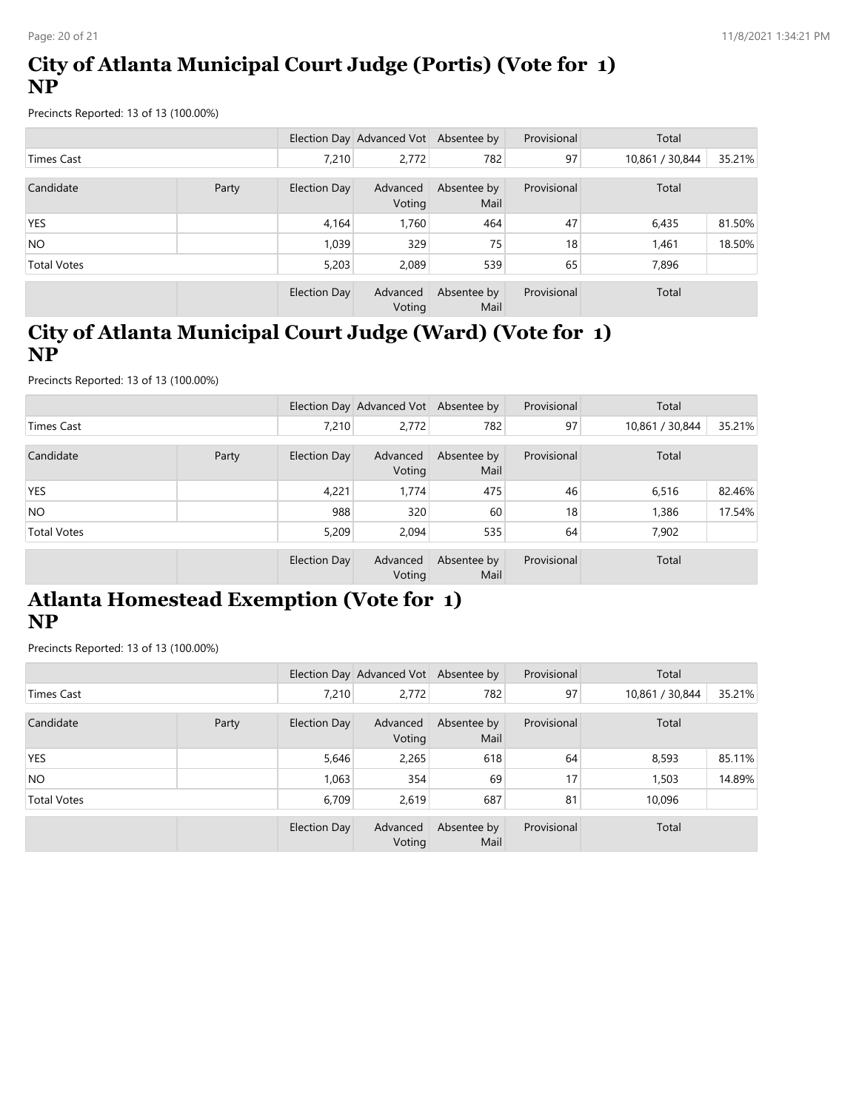# **City of Atlanta Municipal Court Judge (Portis) (Vote for 1) NP**

Precincts Reported: 13 of 13 (100.00%)

|                    |       |              | Election Day Advanced Vot Absentee by |                     | Provisional | Total           |        |
|--------------------|-------|--------------|---------------------------------------|---------------------|-------------|-----------------|--------|
| <b>Times Cast</b>  |       | 7,210        | 2,772                                 | 782                 | 97          | 10,861 / 30,844 | 35.21% |
| Candidate          | Party | Election Day | Advanced<br>Voting                    | Absentee by<br>Mail | Provisional | Total           |        |
| YES                |       | 4,164        | 1,760                                 | 464                 | 47          | 6,435           | 81.50% |
| NO <sub>1</sub>    |       | 1,039        | 329                                   | 75                  | 18          | 1,461           | 18.50% |
| <b>Total Votes</b> |       | 5,203        | 2,089                                 | 539                 | 65          | 7,896           |        |
|                    |       | Election Day | Advanced<br>Voting                    | Absentee by<br>Mail | Provisional | Total           |        |

# **City of Atlanta Municipal Court Judge (Ward) (Vote for 1) NP**

Precincts Reported: 13 of 13 (100.00%)

|                    |       |              | Election Day Advanced Vot Absentee by |                     | Provisional | Total           |        |
|--------------------|-------|--------------|---------------------------------------|---------------------|-------------|-----------------|--------|
| <b>Times Cast</b>  |       | 7.210        | 2,772                                 | 782                 | 97          | 10,861 / 30,844 | 35.21% |
| Candidate          | Party | Election Day | Advanced<br>Voting                    | Absentee by<br>Mail | Provisional | Total           |        |
| <b>YES</b>         |       | 4,221        | 1.774                                 | 475                 | 46          | 6,516           | 82.46% |
| NO.                |       | 988          | 320                                   | 60                  | 18          | 1,386           | 17.54% |
| <b>Total Votes</b> |       | 5,209        | 2,094                                 | 535                 | 64          | 7,902           |        |
|                    |       | Election Day | Advanced<br>Voting                    | Absentee by<br>Mail | Provisional | Total           |        |

# **Atlanta Homestead Exemption (Vote for 1) NP**

|                    |       |              | Election Day Advanced Vot Absentee by |                     | Provisional | Total           |        |
|--------------------|-------|--------------|---------------------------------------|---------------------|-------------|-----------------|--------|
| <b>Times Cast</b>  |       | 7,210        | 2,772                                 | 782                 | 97          | 10,861 / 30,844 | 35.21% |
| Candidate          | Party | Election Day | Advanced<br>Voting                    | Absentee by<br>Mail | Provisional | Total           |        |
| <b>YES</b>         |       | 5,646        | 2,265                                 | 618                 | 64          | 8,593           | 85.11% |
| NO.                |       | 1,063        | 354                                   | 69                  | 17          | 1,503           | 14.89% |
| <b>Total Votes</b> |       | 6,709        | 2,619                                 | 687                 | 81          | 10,096          |        |
|                    |       | Election Day | Advanced<br>Voting                    | Absentee by<br>Mail | Provisional | Total           |        |